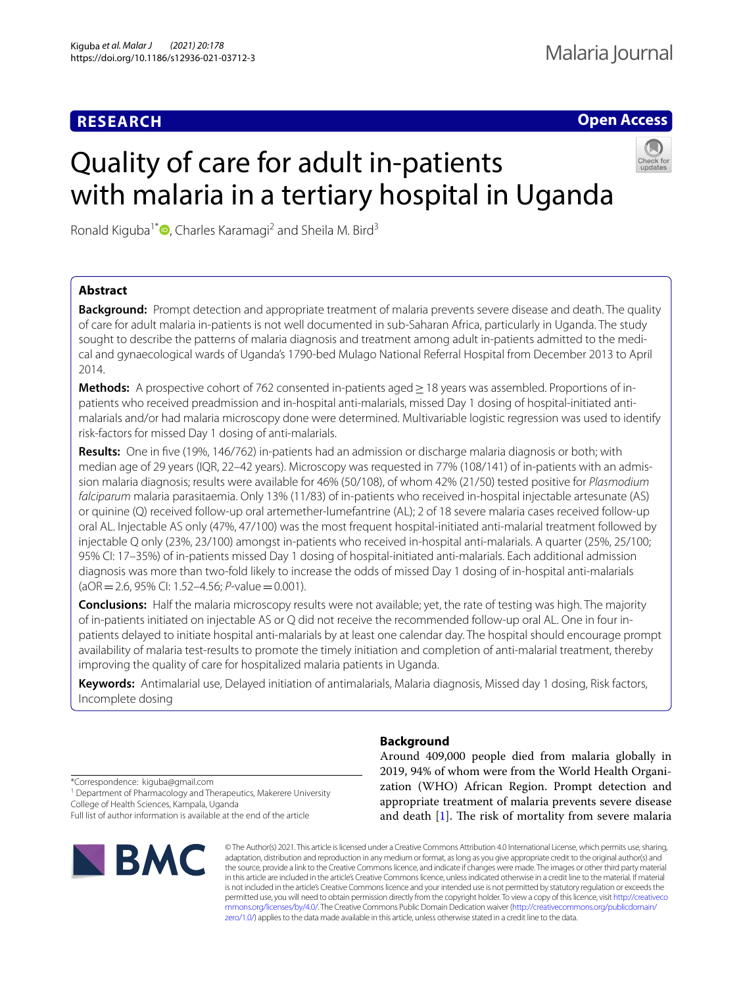# **RESEARCH**

**Open Access**

# Quality of care for adult in-patients with malaria in a tertiary hospital in Uganda



Ronald Kiguba<sup>1\*</sup>  $\bullet$ [,](http://orcid.org/0000-0002-2636-4115) Charles Karamagi<sup>2</sup> and Sheila M. Bird<sup>3</sup>

## **Abstract**

**Background:** Prompt detection and appropriate treatment of malaria prevents severe disease and death. The quality of care for adult malaria in-patients is not well documented in sub-Saharan Africa, particularly in Uganda. The study sought to describe the patterns of malaria diagnosis and treatment among adult in-patients admitted to the medical and gynaecological wards of Uganda's 1790-bed Mulago National Referral Hospital from December 2013 to April 2014.

**Methods:** A prospective cohort of 762 consented in-patients aged ≥ 18 years was assembled. Proportions of inpatients who received preadmission and in-hospital anti-malarials, missed Day 1 dosing of hospital-initiated antimalarials and/or had malaria microscopy done were determined. Multivariable logistic regression was used to identify risk-factors for missed Day 1 dosing of anti-malarials.

**Results:** One in fve (19%, 146/762) in-patients had an admission or discharge malaria diagnosis or both; with median age of 29 years (IQR, 22–42 years). Microscopy was requested in 77% (108/141) of in-patients with an admission malaria diagnosis; results were available for 46% (50/108), of whom 42% (21/50) tested positive for *Plasmodium falciparum* malaria parasitaemia. Only 13% (11/83) of in-patients who received in-hospital injectable artesunate (AS) or quinine (Q) received follow-up oral artemether-lumefantrine (AL); 2 of 18 severe malaria cases received follow-up oral AL. Injectable AS only (47%, 47/100) was the most frequent hospital-initiated anti-malarial treatment followed by injectable Q only (23%, 23/100) amongst in-patients who received in-hospital anti-malarials. A quarter (25%, 25/100; 95% CI: 17–35%) of in-patients missed Day 1 dosing of hospital-initiated anti-malarials. Each additional admission diagnosis was more than two-fold likely to increase the odds of missed Day 1 dosing of in-hospital anti-malarials (aOR=2.6, 95% CI: 1.52–4.56; *P*-value=0.001).

**Conclusions:** Half the malaria microscopy results were not available; yet, the rate of testing was high. The majority of in-patients initiated on injectable AS or Q did not receive the recommended follow-up oral AL. One in four inpatients delayed to initiate hospital anti-malarials by at least one calendar day. The hospital should encourage prompt availability of malaria test-results to promote the timely initiation and completion of anti-malarial treatment, thereby improving the quality of care for hospitalized malaria patients in Uganda.

**Keywords:** Antimalarial use, Delayed initiation of antimalarials, Malaria diagnosis, Missed day 1 dosing, Risk factors, Incomplete dosing

**Background**

Around 409,000 people died from malaria globally in 2019, 94% of whom were from the World Health Organization (WHO) African Region. Prompt detection and appropriate treatment of malaria prevents severe disease and death  $[1]$  $[1]$ . The risk of mortality from severe malaria

\*Correspondence: kiguba@gmail.com <sup>1</sup> Department of Pharmacology and Therapeutics, Makerere University College of Health Sciences, Kampala, Uganda Full list of author information is available at the end of the article



© The Author(s) 2021. This article is licensed under a Creative Commons Attribution 4.0 International License, which permits use, sharing, adaptation, distribution and reproduction in any medium or format, as long as you give appropriate credit to the original author(s) and the source, provide a link to the Creative Commons licence, and indicate if changes were made. The images or other third party material in this article are included in the article's Creative Commons licence, unless indicated otherwise in a credit line to the material. If material is not included in the article's Creative Commons licence and your intended use is not permitted by statutory regulation or exceeds the permitted use, you will need to obtain permission directly from the copyright holder. To view a copy of this licence, visit [http://creativeco](http://creativecommons.org/licenses/by/4.0/) [mmons.org/licenses/by/4.0/.](http://creativecommons.org/licenses/by/4.0/) The Creative Commons Public Domain Dedication waiver ([http://creativecommons.org/publicdomain/](http://creativecommons.org/publicdomain/zero/1.0/) [zero/1.0/\)](http://creativecommons.org/publicdomain/zero/1.0/) applies to the data made available in this article, unless otherwise stated in a credit line to the data.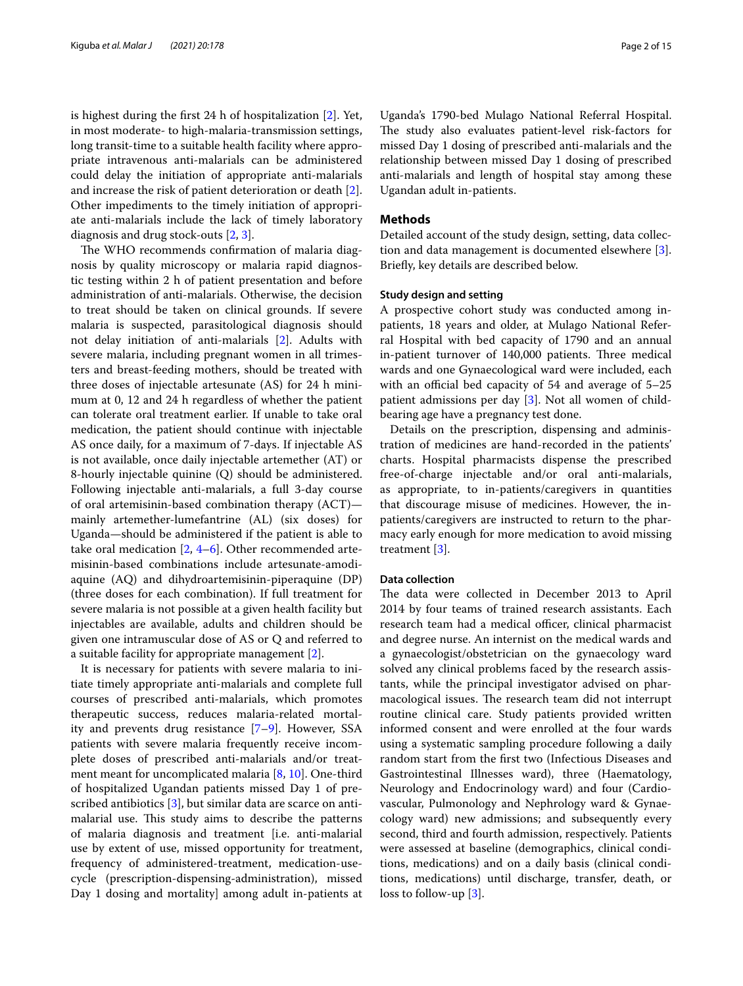is highest during the frst 24 h of hospitalization [[2\]](#page-13-1). Yet, in most moderate- to high-malaria-transmission settings, long transit-time to a suitable health facility where appropriate intravenous anti-malarials can be administered could delay the initiation of appropriate anti-malarials and increase the risk of patient deterioration or death [\[2](#page-13-1)]. Other impediments to the timely initiation of appropriate anti-malarials include the lack of timely laboratory diagnosis and drug stock-outs [\[2](#page-13-1), [3\]](#page-14-0).

The WHO recommends confirmation of malaria diagnosis by quality microscopy or malaria rapid diagnostic testing within 2 h of patient presentation and before administration of anti-malarials. Otherwise, the decision to treat should be taken on clinical grounds. If severe malaria is suspected, parasitological diagnosis should not delay initiation of anti-malarials [[2\]](#page-13-1). Adults with severe malaria, including pregnant women in all trimesters and breast-feeding mothers, should be treated with three doses of injectable artesunate (AS) for 24 h minimum at 0, 12 and 24 h regardless of whether the patient can tolerate oral treatment earlier. If unable to take oral medication, the patient should continue with injectable AS once daily, for a maximum of 7-days. If injectable AS is not available, once daily injectable artemether (AT) or 8-hourly injectable quinine (Q) should be administered. Following injectable anti-malarials, a full 3-day course of oral artemisinin-based combination therapy (ACT) mainly artemether-lumefantrine (AL) (six doses) for Uganda—should be administered if the patient is able to take oral medication [\[2](#page-13-1), [4](#page-14-1)[–6](#page-14-2)]. Other recommended artemisinin-based combinations include artesunate-amodiaquine (AQ) and dihydroartemisinin-piperaquine (DP) (three doses for each combination). If full treatment for severe malaria is not possible at a given health facility but injectables are available, adults and children should be given one intramuscular dose of AS or Q and referred to a suitable facility for appropriate management [[2\]](#page-13-1).

It is necessary for patients with severe malaria to initiate timely appropriate anti-malarials and complete full courses of prescribed anti-malarials, which promotes therapeutic success, reduces malaria-related mortality and prevents drug resistance [\[7](#page-14-3)[–9](#page-14-4)]. However, SSA patients with severe malaria frequently receive incomplete doses of prescribed anti-malarials and/or treatment meant for uncomplicated malaria [[8,](#page-14-5) [10](#page-14-6)]. One-third of hospitalized Ugandan patients missed Day 1 of prescribed antibiotics [\[3](#page-14-0)], but similar data are scarce on antimalarial use. This study aims to describe the patterns of malaria diagnosis and treatment [i.e. anti-malarial use by extent of use, missed opportunity for treatment, frequency of administered-treatment, medication-usecycle (prescription-dispensing-administration), missed Day 1 dosing and mortality] among adult in-patients at

Uganda's 1790-bed Mulago National Referral Hospital. The study also evaluates patient-level risk-factors for missed Day 1 dosing of prescribed anti-malarials and the relationship between missed Day 1 dosing of prescribed anti-malarials and length of hospital stay among these Ugandan adult in-patients.

## **Methods**

Detailed account of the study design, setting, data collection and data management is documented elsewhere [\[3](#page-14-0)]. Briefy, key details are described below.

#### **Study design and setting**

A prospective cohort study was conducted among inpatients, 18 years and older, at Mulago National Referral Hospital with bed capacity of 1790 and an annual in-patient turnover of 140,000 patients. Three medical wards and one Gynaecological ward were included, each with an official bed capacity of  $54$  and average of  $5-25$ patient admissions per day [\[3](#page-14-0)]. Not all women of childbearing age have a pregnancy test done.

Details on the prescription, dispensing and administration of medicines are hand-recorded in the patients' charts. Hospital pharmacists dispense the prescribed free-of-charge injectable and/or oral anti-malarials, as appropriate, to in-patients/caregivers in quantities that discourage misuse of medicines. However, the inpatients/caregivers are instructed to return to the pharmacy early enough for more medication to avoid missing treatment [[3\]](#page-14-0).

## **Data collection**

The data were collected in December 2013 to April 2014 by four teams of trained research assistants. Each research team had a medical officer, clinical pharmacist and degree nurse. An internist on the medical wards and a gynaecologist/obstetrician on the gynaecology ward solved any clinical problems faced by the research assistants, while the principal investigator advised on pharmacological issues. The research team did not interrupt routine clinical care. Study patients provided written informed consent and were enrolled at the four wards using a systematic sampling procedure following a daily random start from the frst two (Infectious Diseases and Gastrointestinal Illnesses ward), three (Haematology, Neurology and Endocrinology ward) and four (Cardiovascular, Pulmonology and Nephrology ward & Gynaecology ward) new admissions; and subsequently every second, third and fourth admission, respectively. Patients were assessed at baseline (demographics, clinical conditions, medications) and on a daily basis (clinical conditions, medications) until discharge, transfer, death, or loss to follow-up [\[3](#page-14-0)].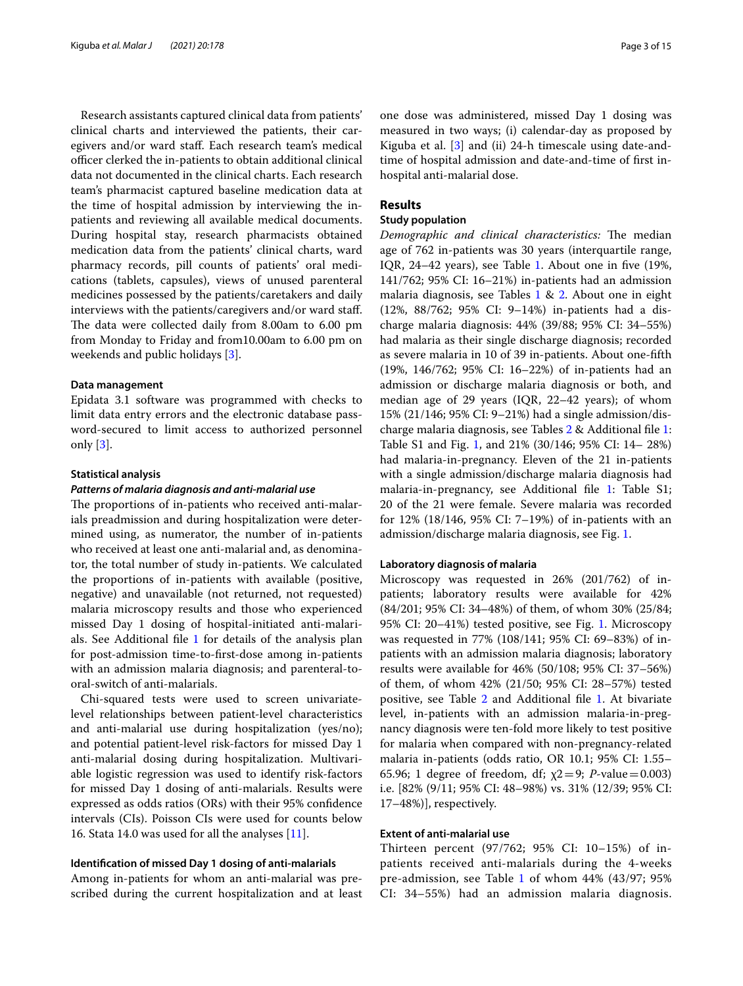Research assistants captured clinical data from patients' clinical charts and interviewed the patients, their caregivers and/or ward staf. Each research team's medical officer clerked the in-patients to obtain additional clinical data not documented in the clinical charts. Each research team's pharmacist captured baseline medication data at the time of hospital admission by interviewing the inpatients and reviewing all available medical documents. During hospital stay, research pharmacists obtained medication data from the patients' clinical charts, ward pharmacy records, pill counts of patients' oral medications (tablets, capsules), views of unused parenteral medicines possessed by the patients/caretakers and daily interviews with the patients/caregivers and/or ward staf. The data were collected daily from 8.00am to 6.00 pm from Monday to Friday and from10.00am to 6.00 pm on weekends and public holidays [\[3](#page-14-0)].

### **Data management**

Epidata 3.1 software was programmed with checks to limit data entry errors and the electronic database password-secured to limit access to authorized personnel only [[3\]](#page-14-0).

#### **Statistical analysis**

#### *Patterns of malaria diagnosis and anti‑malarial use*

The proportions of in-patients who received anti-malarials preadmission and during hospitalization were determined using, as numerator, the number of in-patients who received at least one anti-malarial and, as denominator, the total number of study in-patients. We calculated the proportions of in-patients with available (positive, negative) and unavailable (not returned, not requested) malaria microscopy results and those who experienced missed Day 1 dosing of hospital-initiated anti-malarials. See Additional fle [1](#page-13-2) for details of the analysis plan for post-admission time-to-frst-dose among in-patients with an admission malaria diagnosis; and parenteral-tooral-switch of anti-malarials.

Chi-squared tests were used to screen univariatelevel relationships between patient-level characteristics and anti-malarial use during hospitalization (yes/no); and potential patient-level risk-factors for missed Day 1 anti-malarial dosing during hospitalization. Multivariable logistic regression was used to identify risk-factors for missed Day 1 dosing of anti-malarials. Results were expressed as odds ratios (ORs) with their 95% confdence intervals (CIs). Poisson CIs were used for counts below 16. Stata 14.0 was used for all the analyses [[11\]](#page-14-7).

#### **Identifcation of missed Day 1 dosing of anti‑malarials**

Among in-patients for whom an anti-malarial was prescribed during the current hospitalization and at least

one dose was administered, missed Day 1 dosing was measured in two ways; (i) calendar-day as proposed by Kiguba et al. [\[3](#page-14-0)] and (ii) 24-h timescale using date-andtime of hospital admission and date-and-time of frst inhospital anti-malarial dose.

## **Results**

## **Study population**

*Demographic and clinical characteristics:* The median age of 762 in-patients was 30 years (interquartile range, IQR, 24–42 years), see Table [1.](#page-3-0) About one in fve (19%, 141/762; 95% CI: 16–21%) in-patients had an admission malaria diagnosis, see Tables [1](#page-3-0) & [2](#page-5-0). About one in eight (12%, 88/762; 95% CI: 9–14%) in-patients had a discharge malaria diagnosis: 44% (39/88; 95% CI: 34–55%) had malaria as their single discharge diagnosis; recorded as severe malaria in 10 of 39 in-patients. About one-ffth (19%, 146/762; 95% CI: 16–22%) of in-patients had an admission or discharge malaria diagnosis or both, and median age of 29 years (IQR, 22–42 years); of whom 15% (21/146; 95% CI: 9–21%) had a single admission/discharge malaria diagnosis, see Tables [2](#page-5-0) & Additional fle [1](#page-13-2): Table S1 and Fig. [1](#page-6-0), and 21% (30/146; 95% CI: 14– 28%) had malaria-in-pregnancy. Eleven of the 21 in-patients with a single admission/discharge malaria diagnosis had malaria-in-pregnancy, see Additional fle [1](#page-13-2): Table S1; 20 of the 21 were female. Severe malaria was recorded for 12% (18/146, 95% CI: 7–19%) of in-patients with an admission/discharge malaria diagnosis, see Fig. [1](#page-6-0).

## **Laboratory diagnosis of malaria**

Microscopy was requested in 26% (201/762) of inpatients; laboratory results were available for 42% (84/201; 95% CI: 34–48%) of them, of whom 30% (25/84; 95% CI: 20–41%) tested positive, see Fig. [1.](#page-6-0) Microscopy was requested in 77% (108/141; 95% CI: 69–83%) of inpatients with an admission malaria diagnosis; laboratory results were available for 46% (50/108; 95% CI: 37–56%) of them, of whom 42% (21/50; 95% CI: 28–57%) tested positive, see Table [2](#page-5-0) and Additional file [1.](#page-13-2) At bivariate level, in-patients with an admission malaria-in-pregnancy diagnosis were ten-fold more likely to test positive for malaria when compared with non-pregnancy-related malaria in-patients (odds ratio, OR 10.1; 95% CI: 1.55– 65.96; 1 degree of freedom, df;  $\chi$ 2=9; *P*-value=0.003) i.e. [82% (9/11; 95% CI: 48–98%) vs. 31% (12/39; 95% CI: 17–48%)], respectively.

## **Extent of anti‑malarial use**

Thirteen percent (97/762; 95% CI: 10–15%) of inpatients received anti-malarials during the 4-weeks pre-admission, see Table [1](#page-3-0) of whom 44% (43/97; 95% CI: 34–55%) had an admission malaria diagnosis.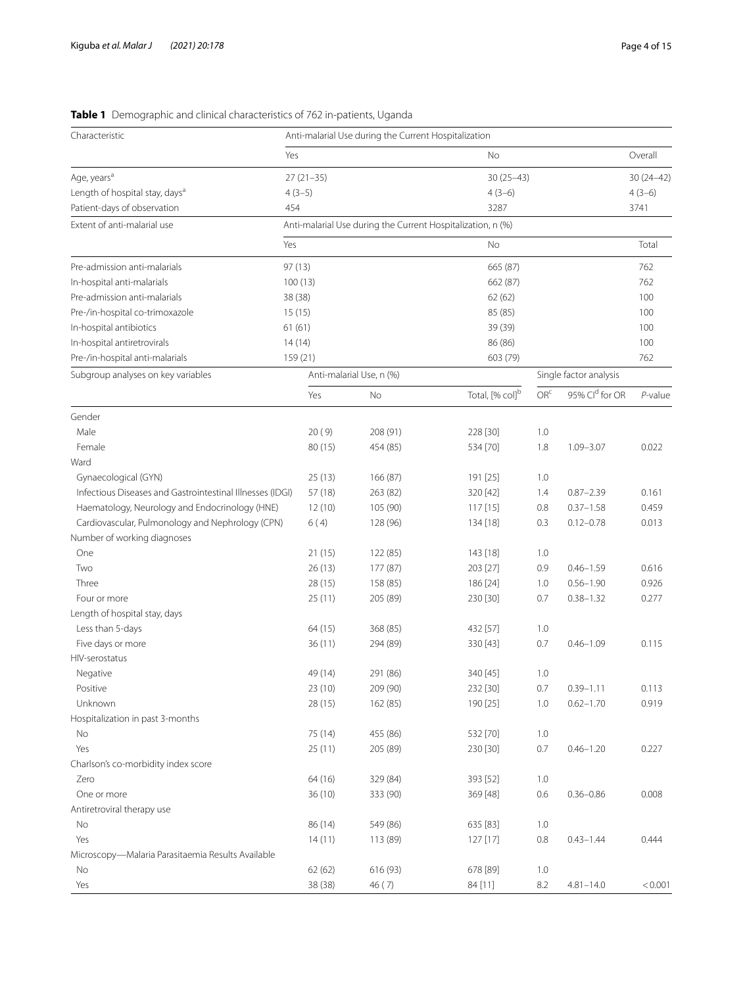# <span id="page-3-0"></span>**Table 1** Demographic and clinical characteristics of 762 in-patients, Uganda

| Characteristic                                            |             | Anti-malarial Use during the Current Hospitalization        |                             |                 |                        |             |
|-----------------------------------------------------------|-------------|-------------------------------------------------------------|-----------------------------|-----------------|------------------------|-------------|
|                                                           | Yes         |                                                             | No                          |                 |                        | Overall     |
| Age, years <sup>a</sup>                                   | $27(21-35)$ |                                                             | $30(25 - 43)$               |                 |                        | $30(24-42)$ |
| Length of hospital stay, days <sup>a</sup>                | $4(3-5)$    |                                                             | $4(3-6)$                    |                 |                        | $4(3-6)$    |
| Patient-days of observation                               | 454         |                                                             | 3287                        |                 |                        | 3741        |
| Extent of anti-malarial use                               |             | Anti-malarial Use during the Current Hospitalization, n (%) |                             |                 |                        |             |
|                                                           | Yes         |                                                             | No                          |                 |                        | Total       |
| Pre-admission anti-malarials                              | 97 (13)     |                                                             | 665 (87)                    |                 |                        | 762         |
| In-hospital anti-malarials                                | 100(13)     |                                                             | 662 (87)                    |                 |                        | 762         |
| Pre-admission anti-malarials                              | 38 (38)     |                                                             | 62(62)                      |                 |                        | 100         |
| Pre-/in-hospital co-trimoxazole                           | 15(15)      |                                                             | 85 (85)                     |                 |                        | 100         |
| In-hospital antibiotics                                   | 61(61)      |                                                             | 39 (39)                     |                 |                        | 100         |
| In-hospital antiretrovirals                               | 14(14)      |                                                             | 86 (86)                     |                 |                        | 100         |
| Pre-/in-hospital anti-malarials                           | 159 (21)    |                                                             | 603 (79)                    |                 |                        | 762         |
| Subgroup analyses on key variables                        |             | Anti-malarial Use, n (%)                                    |                             |                 | Single factor analysis |             |
|                                                           | Yes         | No                                                          | Total, [% col] <sup>b</sup> | OR <sup>c</sup> | 95% Cld for OR         | $P$ -value  |
| Gender                                                    |             |                                                             |                             |                 |                        |             |
| Male                                                      | 20(9)       | 208 (91)                                                    | 228 [30]                    | 1.0             |                        |             |
| Female                                                    | 80 (15)     | 454 (85)                                                    | 534 [70]                    | 1.8             | $1.09 - 3.07$          | 0.022       |
| Ward                                                      |             |                                                             |                             |                 |                        |             |
| Gynaecological (GYN)                                      | 25(13)      | 166 (87)                                                    | 191 [25]                    | 1.0             |                        |             |
| Infectious Diseases and Gastrointestinal Illnesses (IDGI) | 57 (18)     | 263 (82)                                                    | 320 [42]                    | 1.4             | $0.87 - 2.39$          | 0.161       |
| Haematology, Neurology and Endocrinology (HNE)            | 12(10)      | 105 (90)                                                    | 117 [15]                    | 0.8             | $0.37 - 1.58$          | 0.459       |
| Cardiovascular, Pulmonology and Nephrology (CPN)          | 6(4)        | 128 (96)                                                    | 134 [18]                    | 0.3             | $0.12 - 0.78$          | 0.013       |
| Number of working diagnoses                               |             |                                                             |                             |                 |                        |             |
| One                                                       | 21(15)      | 122 (85)                                                    | 143 [18]                    | 1.0             |                        |             |
| Two                                                       | 26(13)      | 177 (87)                                                    | 203 [27]                    | 0.9             | $0.46 - 1.59$          | 0.616       |
| Three                                                     | 28(15)      | 158 (85)                                                    | 186 [24]                    | 1.0             | $0.56 - 1.90$          | 0.926       |
| Four or more                                              | 25(11)      | 205 (89)                                                    | 230 [30]                    | 0.7             | $0.38 - 1.32$          | 0.277       |
| Length of hospital stay, days                             |             |                                                             |                             |                 |                        |             |
| Less than 5-days                                          | 64 (15)     | 368 (85)                                                    | 432 [57]                    | 1.0             |                        |             |
| Five days or more                                         | 36(11)      | 294 (89)                                                    | 330 [43]                    | 0.7             | $0.46 - 1.09$          | 0.115       |
| <b>HIV-serostatus</b>                                     |             |                                                             |                             |                 |                        |             |
| Negative                                                  | 49 (14)     | 291 (86)                                                    | 340 [45]                    | 1.0             |                        |             |
| Positive                                                  | 23 (10)     | 209 (90)                                                    | 232 [30]                    | 0.7             | $0.39 - 1.11$          | 0.113       |
| Unknown                                                   | 28(15)      | 162 (85)                                                    | 190 [25]                    | 1.0             | $0.62 - 1.70$          | 0.919       |
| Hospitalization in past 3-months                          |             |                                                             |                             |                 |                        |             |
| No                                                        | 75 (14)     | 455 (86)                                                    | 532 [70]                    | 1.0             |                        |             |
| Yes                                                       | 25(11)      | 205 (89)                                                    | 230 [30]                    | 0.7             | $0.46 - 1.20$          | 0.227       |
| Charlson's co-morbidity index score                       |             |                                                             |                             |                 |                        |             |
| Zero                                                      | 64 (16)     | 329 (84)                                                    | 393 [52]                    | 1.0             |                        |             |
| One or more                                               | 36(10)      | 333 (90)                                                    | 369 [48]                    | 0.6             | $0.36 - 0.86$          | 0.008       |
| Antiretroviral therapy use                                |             |                                                             |                             |                 |                        |             |
| No                                                        | 86 (14)     | 549 (86)                                                    | 635 [83]                    | 1.0             |                        |             |
| Yes                                                       | 14(11)      | 113 (89)                                                    | 127 [17]                    | 0.8             | $0.43 - 1.44$          | 0.444       |
| Microscopy-Malaria Parasitaemia Results Available         |             |                                                             |                             |                 |                        |             |
| No                                                        | 62(62)      | 616 (93)                                                    | 678 [89]                    | 1.0             |                        |             |
| Yes                                                       | 38 (38)     | 46 (7)                                                      | 84 [11]                     | 8.2             | $4.81 - 14.0$          | < 0.001     |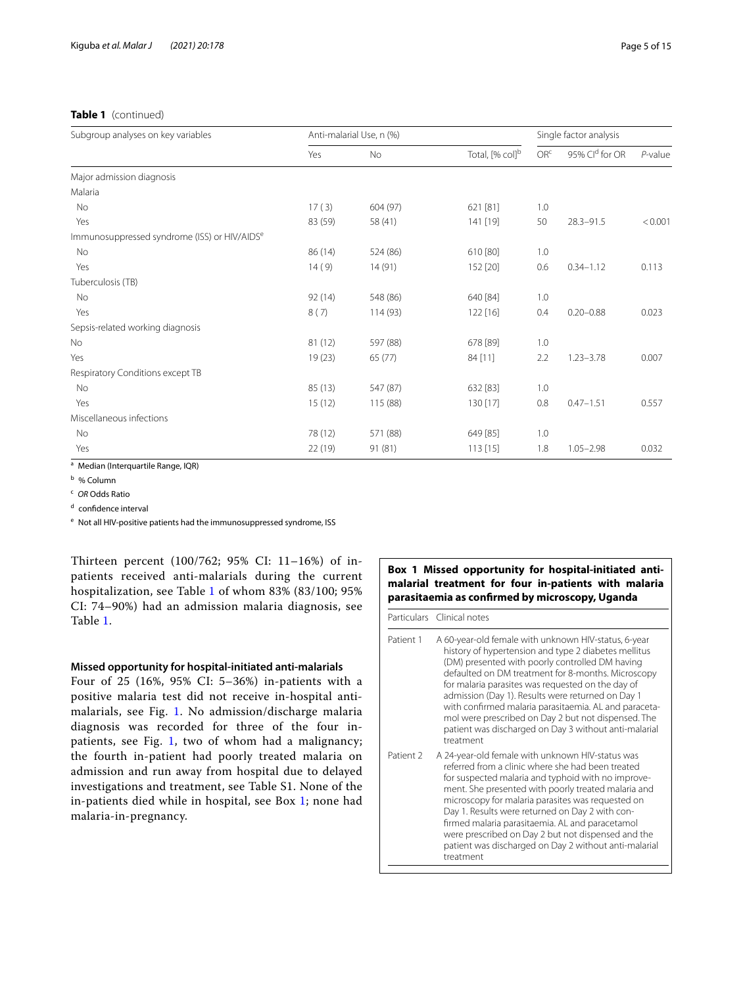## **Table 1** (continued)

| Subgroup analyses on key variables                       |         | Anti-malarial Use, n (%) |                             |                 | Single factor analysis |            |
|----------------------------------------------------------|---------|--------------------------|-----------------------------|-----------------|------------------------|------------|
|                                                          | Yes     | <b>No</b>                | Total, [% col] <sup>b</sup> | OR <sup>c</sup> | 95% Cld for OR         | $P$ -value |
| Major admission diagnosis                                |         |                          |                             |                 |                        |            |
| Malaria                                                  |         |                          |                             |                 |                        |            |
| No                                                       | 17(3)   | 604 (97)                 | 621 [81]                    | 1.0             |                        |            |
| Yes                                                      | 83 (59) | 58 (41)                  | 141 [19]                    | 50              | $28.3 - 91.5$          | < 0.001    |
| Immunosuppressed syndrome (ISS) or HIV/AIDS <sup>e</sup> |         |                          |                             |                 |                        |            |
| No                                                       | 86 (14) | 524 (86)                 | 610 [80]                    | 1.0             |                        |            |
| Yes                                                      | 14(9)   | 14(91)                   | 152 [20]                    | 0.6             | $0.34 - 1.12$          | 0.113      |
| Tuberculosis (TB)                                        |         |                          |                             |                 |                        |            |
| <b>No</b>                                                | 92 (14) | 548 (86)                 | 640 [84]                    | 1.0             |                        |            |
| Yes                                                      | 8(7)    | 114 (93)                 | 122 [16]                    | 0.4             | $0.20 - 0.88$          | 0.023      |
| Sepsis-related working diagnosis                         |         |                          |                             |                 |                        |            |
| No                                                       | 81 (12) | 597 (88)                 | 678 [89]                    | 1.0             |                        |            |
| Yes                                                      | 19(23)  | 65(77)                   | 84 [11]                     | 2.2             | $1.23 - 3.78$          | 0.007      |
| Respiratory Conditions except TB                         |         |                          |                             |                 |                        |            |
| No                                                       | 85 (13) | 547 (87)                 | 632 [83]                    | 1.0             |                        |            |
| Yes                                                      | 15(12)  | 115 (88)                 | 130 [17]                    | 0.8             | $0.47 - 1.51$          | 0.557      |
| Miscellaneous infections                                 |         |                          |                             |                 |                        |            |
| <b>No</b>                                                | 78 (12) | 571 (88)                 | 649 [85]                    | 1.0             |                        |            |
| Yes                                                      | 22 (19) | 91 (81)                  | 113 [15]                    | 1.8             | $1.05 - 2.98$          | 0.032      |

a Median (Interquartile Range, IQR)

<sup>b</sup> % Column

<sup>c</sup> *OR* Odds Ratio

<sup>d</sup> confidence interval

<sup>e</sup> Not all HIV-positive patients had the immunosuppressed syndrome, ISS

Thirteen percent (100/762; 95% CI: 11–16%) of inpatients received anti-malarials during the current hospitalization, see Table [1](#page-3-0) of whom 83% (83/100; 95% CI: 74–90%) had an admission malaria diagnosis, see Table [1](#page-3-0).

## **Missed opportunity for hospital‑initiated anti‑malarials**

Four of 25 (16%, 95% CI: 5–36%) in-patients with a positive malaria test did not receive in-hospital antimalarials, see Fig. [1](#page-6-0). No admission/discharge malaria diagnosis was recorded for three of the four inpatients, see Fig. [1](#page-6-0), two of whom had a malignancy; the fourth in-patient had poorly treated malaria on admission and run away from hospital due to delayed investigations and treatment, see Table S1. None of the in-patients died while in hospital, see Box 1; none had malaria-in-pregnancy.

## **Box 1 Missed opportunity for hospital-initiated antimalarial treatment for four in-patients with malaria parasitaemia as confrmed by microscopy, Uganda**

Particulars Clinical notes

- Patient 1 A 60-year-old female with unknown HIV-status, 6-year history of hypertension and type 2 diabetes mellitus (DM) presented with poorly controlled DM having defaulted on DM treatment for 8-months. Microscopy for malaria parasites was requested on the day of admission (Day 1). Results were returned on Day 1 with confrmed malaria parasitaemia. AL and paracetamol were prescribed on Day 2 but not dispensed. The patient was discharged on Day 3 without anti-malarial treatment Patient 2 A 24-year-old female with unknown HIV-status was referred from a clinic where she had been treated
- for suspected malaria and typhoid with no improvement. She presented with poorly treated malaria and microscopy for malaria parasites was requested on Day 1. Results were returned on Day 2 with confrmed malaria parasitaemia. AL and paracetamol were prescribed on Day 2 but not dispensed and the patient was discharged on Day 2 without anti-malarial treatment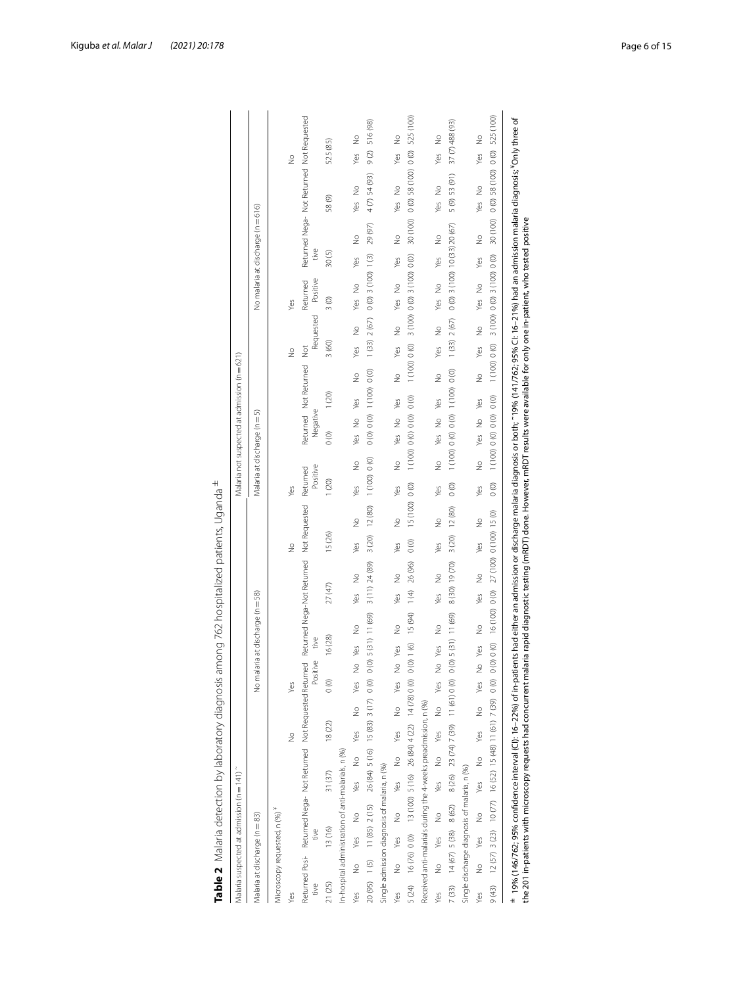|                        |                                 | Malaria suspected at admission (n = 141)                                                   |        |               |                                     |                          |                      |           |                                  |                |                |                         |               |                      |               |                                   |         | Malaria not suspected at admission (n = 621) |               |               |                                |       |                                   |                                           |                      |               |
|------------------------|---------------------------------|--------------------------------------------------------------------------------------------|--------|---------------|-------------------------------------|--------------------------|----------------------|-----------|----------------------------------|----------------|----------------|-------------------------|---------------|----------------------|---------------|-----------------------------------|---------|----------------------------------------------|---------------|---------------|--------------------------------|-------|-----------------------------------|-------------------------------------------|----------------------|---------------|
|                        | Malaria at discharge (n = 83)   |                                                                                            |        |               |                                     |                          |                      |           | No malaria at discharge (n = 58) |                |                |                         |               |                      |               | Malaria at discharge (n = 5)      |         |                                              |               |               |                                |       | No malaria at discharge (n = 616) |                                           |                      |               |
|                        | Microscopy requested, n (%)*    |                                                                                            |        |               |                                     |                          |                      |           |                                  |                |                |                         |               |                      |               |                                   |         |                                              |               |               |                                |       |                                   |                                           |                      |               |
| Yes                    |                                 |                                                                                            |        |               | $\frac{1}{2}$                       |                          | Yes                  |           |                                  |                |                | $\frac{1}{2}$           |               | Yes                  |               |                                   |         |                                              | $\frac{9}{2}$ |               | Yes                            |       |                                   |                                           | $\frac{1}{2}$        |               |
| Returned Posi-<br>tive |                                 | Returned Nega- Not Returned Not Requested Returned Nega-Not Returned Not Requested<br>tive |        |               |                                     |                          | Positive             | tive      |                                  |                |                |                         |               | Positive<br>Returned |               | Negative                          |         | Returned Not Returned                        | $\frac{5}{2}$ | Requested     | Positive<br>Returned           | tive  |                                   | Returned Nega- Not Returned Not Requested |                      |               |
| 21 (25)                |                                 | 13(16)                                                                                     | 31(37) |               | 18(22)                              |                          | $\circ$              | 16(28)    |                                  | 27 (47)        |                | 15(26)                  |               | 1(20)                |               | $\circ$                           | 1(20)   |                                              | 3(60)         |               | $\frac{3}{2}$                  | 30(5) |                                   | 58(9)                                     | 525 (85)             |               |
|                        |                                 | In-hospital administration of anti-malarials, n (%)                                        |        |               |                                     |                          |                      |           |                                  |                |                |                         |               |                      |               |                                   |         |                                              |               |               |                                |       |                                   |                                           |                      |               |
| Yes                    | yes<br>$\stackrel{\circ}{\geq}$ | $\frac{1}{2}$                                                                              | Yes    | $\frac{1}{2}$ | Yes                                 | $\frac{1}{2}$            | $\frac{1}{2}$<br>Yes | Yes       | ş                                | Yes            | $\frac{1}{2}$  | Yes                     | ş             | Yes                  | $\frac{1}{2}$ | $\frac{1}{2}$<br>Yes              | Yes     | $\frac{1}{2}$                                | Yes           | $\frac{1}{2}$ | $\frac{1}{2}$<br>Yes           | Yes   | $\frac{1}{2}$                     | $\frac{1}{2}$<br>Yes                      | Yes                  | ş             |
|                        |                                 | 20 (95) 1 (5) 11 (85) 2 (15)                                                               |        |               | 26 (84) 5 (16) 15 (83) 3 (17)       |                          | $\circ$              |           | $0(0)$ 5 (31) 11 (69)            |                | 3 (11) 24 (89) | 3(20)                   | 12 (80)       | 1(100) 0(0)          |               | 0(0) 0(0) 1(100) 0(0)             |         |                                              | (33)          | 2(67)         | $0(0)$ 3 (100) 1(3)            |       | 29(97)                            | $4(7)$ 54(93)                             | $\circ$              | 516 (98)      |
|                        |                                 | Single admission diagnosis of malaria, n (%)                                               |        |               |                                     |                          |                      |           |                                  |                |                |                         |               |                      |               |                                   |         |                                              |               |               |                                |       |                                   |                                           |                      |               |
| Yes                    | yes<br>$\frac{1}{2}$            | $\frac{1}{2}$                                                                              | Yes    | $\frac{9}{2}$ | Yes                                 | $\stackrel{\circ}{\geq}$ | ş<br>yes             | Yes       | $\frac{9}{2}$                    | yes            | ş              | Yes                     | $\frac{9}{2}$ | yes                  | $\frac{1}{2}$ | ş<br>Yes                          | Yes     | $\frac{1}{2}$                                | Yes           | $\frac{1}{2}$ | $\frac{1}{2}$<br>Yes           | Yes   | $\frac{1}{2}$                     | $\frac{1}{2}$<br>Yes                      | Yes                  | $\frac{9}{2}$ |
| 5(24)                  |                                 | $16(76) 0(0)$ $13(100) 5(16) 26(84) 4(22) 14(78) 0(0)$                                     |        |               |                                     |                          |                      | 0(0) 1(6) | 15(94)                           | $\frac{1}{2}$  | 26 (96)        | $\circ$                 | 15 (100)      | $\circ$              | (100)         | 0(0) 0(0)                         | $\circ$ |                                              | 1 (100) 0 (0) |               | 3 (100) 0 (0) 3 (100) 0 (0)    |       | 30 (100)                          | $0(0)$ 58 (100)                           | $\circ$              | 525 (100)     |
|                        |                                 | Received anti-malarials during the 4-weeks preadmission, n (%)                             |        |               |                                     |                          |                      |           |                                  |                |                |                         |               |                      |               |                                   |         |                                              |               |               |                                |       |                                   |                                           |                      |               |
| Yes                    | Yes<br>$\frac{9}{2}$            | $\frac{1}{2}$                                                                              | Yes    | $\frac{1}{2}$ | Yes                                 | $\frac{1}{2}$            | $\frac{1}{2}$<br>Yes | Yes       | ş                                | Yes            | $\frac{1}{2}$  | Yes                     | ş             | Yes                  | $\frac{1}{2}$ | $\frac{1}{2}$<br>Yes              | Yes     | $\frac{9}{2}$                                | Yes           | $\frac{1}{2}$ | $\frac{6}{2}$<br>Yes           | Yes   | $\frac{1}{2}$                     | $\frac{1}{2}$<br>Yes                      | $\frac{9}{2}$<br>Yes |               |
|                        |                                 | 7 (33) 14 (67) 5 (38) 8 (62)                                                               |        |               | 8 (26) 23 (74) 7 (39) 11 (61) 0 (0) |                          |                      |           | $0(0)$ 5 (31) 11 (69)            |                | 8 (30) 19 (70) | 3(20)                   | 12 (80)       | $\circ$              |               | 1 (100) 0 (0) 0 (0) 1 (100) 0 (0) |         |                                              | 1(33) 2(67)   |               | $0(0)$ 3 (100) 10 (33) 20 (67) |       |                                   | 5 (9) 53 (91)                             | 37 (7) 488 (93)      |               |
|                        |                                 | Single discharge diagnosis of malaria, n (%)                                               |        |               |                                     |                          |                      |           |                                  |                |                |                         |               |                      |               |                                   |         |                                              |               |               |                                |       |                                   |                                           |                      |               |
| Yes                    | yes<br>ž                        | $\frac{1}{2}$                                                                              | Yes    | $\frac{1}{2}$ | Yes                                 | $\frac{1}{2}$            | $\frac{1}{2}$<br>Yes | Yes       | $\frac{9}{2}$                    | Yes            | $\frac{1}{2}$  | Yes                     | $\frac{9}{2}$ | Yes                  | $\frac{1}{2}$ | $\frac{1}{2}$<br>Yes              | Yes     | $\frac{9}{2}$                                | Yes           | $\frac{1}{2}$ | $\frac{1}{2}$<br>Yes           | Yes   | $\frac{1}{2}$                     | $\frac{1}{2}$<br>Yes                      | Yes                  | ş             |
| 9(43)                  |                                 | $12(57)$ 3(23) $10(77)$ 16(52) 15(48) 11(61) 7(39)                                         |        |               |                                     |                          | $\circ$              | 0(0) 0(0) |                                  | 16 (100) 0 (0) |                | 27 (100) 0 (100) 15 (0) |               | $\circ$              |               | 1 (100) 0 (0) 0 (0)               | $\circ$ |                                              | 1 (100) 0 (0) |               | 3 (100) 0 (0) 3 (100) 0 (0)    |       | 30 (100)                          | $0(0)$ 58 (100) 0 (0) 525 (100)           |                      |               |

<span id="page-5-0"></span>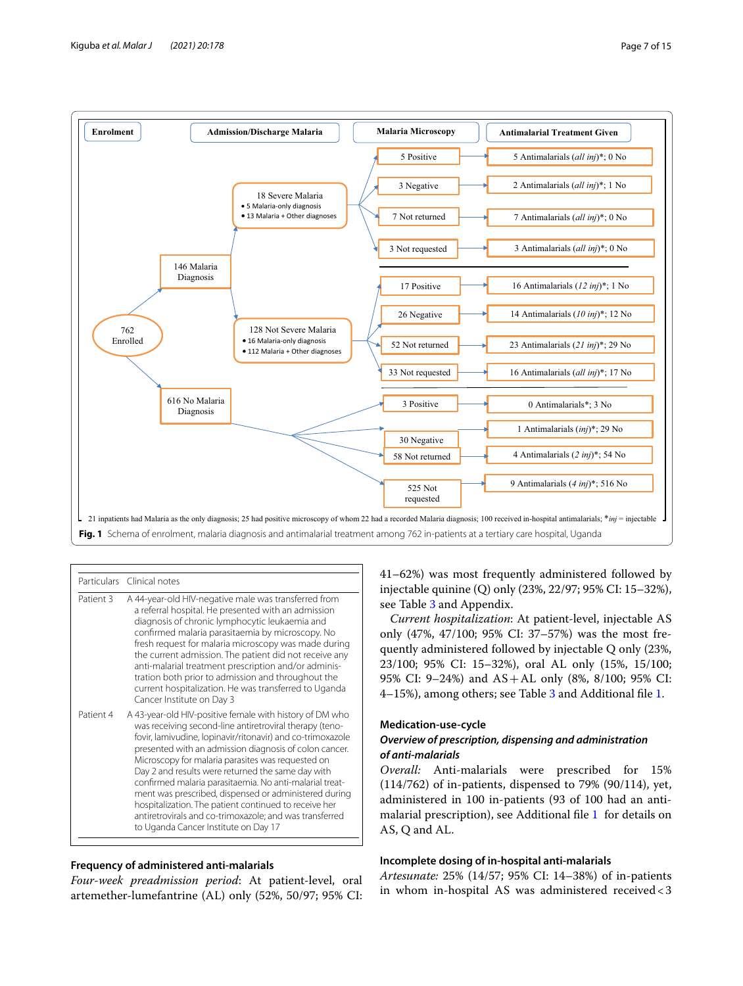

<span id="page-6-0"></span>

|           | Particulars Clinical notes                                                                                                                                                                                                                                                                                                                                                                                                                                                                                                                                                                                                            |
|-----------|---------------------------------------------------------------------------------------------------------------------------------------------------------------------------------------------------------------------------------------------------------------------------------------------------------------------------------------------------------------------------------------------------------------------------------------------------------------------------------------------------------------------------------------------------------------------------------------------------------------------------------------|
| Patient 3 | A 44-year-old HIV-negative male was transferred from<br>a referral hospital. He presented with an admission<br>diagnosis of chronic lymphocytic leukaemia and<br>confirmed malaria parasitaemia by microscopy. No<br>fresh request for malaria microscopy was made during<br>the current admission. The patient did not receive any<br>anti-malarial treatment prescription and/or adminis-<br>tration both prior to admission and throughout the<br>current hospitalization. He was transferred to Uganda<br>Cancer Institute on Day 3                                                                                               |
| Patient 4 | A 43-year-old HIV-positive female with history of DM who<br>was receiving second-line antiretroviral therapy (teno-<br>fovir, lamivudine, lopinavir/ritonavir) and co-trimoxazole<br>presented with an admission diagnosis of colon cancer.<br>Microscopy for malaria parasites was requested on<br>Day 2 and results were returned the same day with<br>confirmed malaria parasitaemia. No anti-malarial treat-<br>ment was prescribed, dispensed or administered during<br>hospitalization. The patient continued to receive her<br>antiretrovirals and co-trimoxazole; and was transferred<br>to Uganda Cancer Institute on Day 17 |

## **Frequency of administered anti‑malarials**

*Four-week preadmission period*: At patient-level, oral artemether-lumefantrine (AL) only (52%, 50/97; 95% CI: 41–62%) was most frequently administered followed by injectable quinine (Q) only (23%, 22/97; 95% CI: 15–32%), see Table [3](#page-7-0) and Appendix.

*Current hospitalization*: At patient-level, injectable AS only (47%, 47/100; 95% CI: 37–57%) was the most frequently administered followed by injectable Q only (23%, 23/100; 95% CI: 15–32%), oral AL only (15%, 15/100; 95% CI: 9–24%) and AS+AL only (8%, 8/100; 95% CI: 4–15%), among others; see Table [3](#page-7-0) and Additional fle [1.](#page-13-2)

## **Medication‑use‑cycle** *Overview of prescription, dispensing and administration of anti‑malarials*

*Overall:* Anti-malarials were prescribed for 15% (114/762) of in-patients, dispensed to 79% (90/114), yet, administered in 100 in-patients (93 of 100 had an antimalarial prescription), see Additional fle [1](#page-13-2) for details on AS, Q and AL.

## **Incomplete dosing of in‑hospital anti‑malarials**

*Artesunate:* 25% (14/57; 95% CI: 14–38%) of in-patients in whom in-hospital AS was administered received<3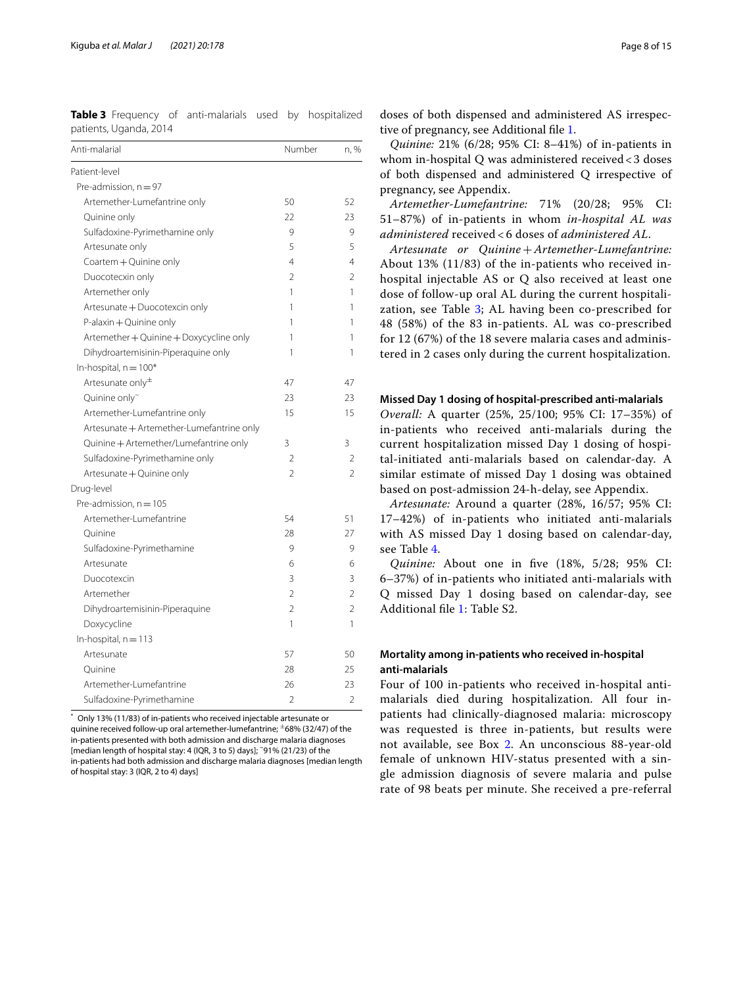<span id="page-7-0"></span>**Table 3** Frequency of anti-malarials used by hospitalized patients, Uganda, 2014

| Pre-admission, $n = 97$<br>Artemether-Lumefantrine only<br>50<br>52<br>Quinine only<br>22<br>23<br>Sulfadoxine-Pyrimethamine only<br>9<br>9<br>5<br>5<br>Artesunate only<br>Coartem + Quinine only<br>4<br>4<br>Duocotecxin only<br>$\mathfrak{D}$<br>$\mathfrak{D}$<br>Artemether only<br>1<br>1<br>Artesunate + Duocotexcin only<br>1<br>1<br>P-alaxin + Quinine only<br>1<br>1<br>Artemether + Quinine + Doxycycline only<br>1<br>1<br>Dihydroartemisinin-Piperaquine only<br>1<br>1<br>In-hospital, $n = 100*$<br>Artesunate only <sup>±</sup><br>47<br>47<br>Quinine only~<br>23<br>23<br>Artemether-Lumefantrine only<br>15<br>15<br>Artesunate + Artemether-Lumefantrine only<br>Quinine + Artemether/Lumefantrine only<br>3<br>3<br>Sulfadoxine-Pyrimethamine only<br>$\mathfrak{D}$<br>2<br>Artesunate + Quinine only<br>$\overline{\phantom{a}}$<br>$\mathfrak{D}$<br>Pre-admission, $n = 105$<br>Artemether-Lumefantrine<br>54<br>51<br>27<br>Ouinine<br>28<br>Sulfadoxine-Pyrimethamine<br>9<br>9<br>Artesunate<br>6<br>6<br>3<br>3<br>Duocotexcin<br>$\overline{\phantom{a}}$<br>$\overline{2}$<br>Artemether<br>$\mathfrak{D}$<br>$\overline{2}$<br>Dihydroartemisinin-Piperaquine<br>Doxycycline<br>1<br>1<br>In-hospital, $n = 113$<br>57<br>Artesunate<br>50<br>28<br>25<br>Quinine<br>Artemether-Lumefantrine<br>23<br>26<br>$\overline{2}$<br>$\overline{\phantom{a}}$<br>Sulfadoxine-Pyrimethamine | Anti-malarial | Number | n, % |
|------------------------------------------------------------------------------------------------------------------------------------------------------------------------------------------------------------------------------------------------------------------------------------------------------------------------------------------------------------------------------------------------------------------------------------------------------------------------------------------------------------------------------------------------------------------------------------------------------------------------------------------------------------------------------------------------------------------------------------------------------------------------------------------------------------------------------------------------------------------------------------------------------------------------------------------------------------------------------------------------------------------------------------------------------------------------------------------------------------------------------------------------------------------------------------------------------------------------------------------------------------------------------------------------------------------------------------------------------------------------------------------------------------------------|---------------|--------|------|
|                                                                                                                                                                                                                                                                                                                                                                                                                                                                                                                                                                                                                                                                                                                                                                                                                                                                                                                                                                                                                                                                                                                                                                                                                                                                                                                                                                                                                        | Patient-level |        |      |
|                                                                                                                                                                                                                                                                                                                                                                                                                                                                                                                                                                                                                                                                                                                                                                                                                                                                                                                                                                                                                                                                                                                                                                                                                                                                                                                                                                                                                        |               |        |      |
|                                                                                                                                                                                                                                                                                                                                                                                                                                                                                                                                                                                                                                                                                                                                                                                                                                                                                                                                                                                                                                                                                                                                                                                                                                                                                                                                                                                                                        |               |        |      |
|                                                                                                                                                                                                                                                                                                                                                                                                                                                                                                                                                                                                                                                                                                                                                                                                                                                                                                                                                                                                                                                                                                                                                                                                                                                                                                                                                                                                                        |               |        |      |
|                                                                                                                                                                                                                                                                                                                                                                                                                                                                                                                                                                                                                                                                                                                                                                                                                                                                                                                                                                                                                                                                                                                                                                                                                                                                                                                                                                                                                        |               |        |      |
|                                                                                                                                                                                                                                                                                                                                                                                                                                                                                                                                                                                                                                                                                                                                                                                                                                                                                                                                                                                                                                                                                                                                                                                                                                                                                                                                                                                                                        |               |        |      |
|                                                                                                                                                                                                                                                                                                                                                                                                                                                                                                                                                                                                                                                                                                                                                                                                                                                                                                                                                                                                                                                                                                                                                                                                                                                                                                                                                                                                                        |               |        |      |
|                                                                                                                                                                                                                                                                                                                                                                                                                                                                                                                                                                                                                                                                                                                                                                                                                                                                                                                                                                                                                                                                                                                                                                                                                                                                                                                                                                                                                        |               |        |      |
|                                                                                                                                                                                                                                                                                                                                                                                                                                                                                                                                                                                                                                                                                                                                                                                                                                                                                                                                                                                                                                                                                                                                                                                                                                                                                                                                                                                                                        |               |        |      |
|                                                                                                                                                                                                                                                                                                                                                                                                                                                                                                                                                                                                                                                                                                                                                                                                                                                                                                                                                                                                                                                                                                                                                                                                                                                                                                                                                                                                                        |               |        |      |
|                                                                                                                                                                                                                                                                                                                                                                                                                                                                                                                                                                                                                                                                                                                                                                                                                                                                                                                                                                                                                                                                                                                                                                                                                                                                                                                                                                                                                        |               |        |      |
|                                                                                                                                                                                                                                                                                                                                                                                                                                                                                                                                                                                                                                                                                                                                                                                                                                                                                                                                                                                                                                                                                                                                                                                                                                                                                                                                                                                                                        |               |        |      |
|                                                                                                                                                                                                                                                                                                                                                                                                                                                                                                                                                                                                                                                                                                                                                                                                                                                                                                                                                                                                                                                                                                                                                                                                                                                                                                                                                                                                                        |               |        |      |
|                                                                                                                                                                                                                                                                                                                                                                                                                                                                                                                                                                                                                                                                                                                                                                                                                                                                                                                                                                                                                                                                                                                                                                                                                                                                                                                                                                                                                        |               |        |      |
|                                                                                                                                                                                                                                                                                                                                                                                                                                                                                                                                                                                                                                                                                                                                                                                                                                                                                                                                                                                                                                                                                                                                                                                                                                                                                                                                                                                                                        |               |        |      |
|                                                                                                                                                                                                                                                                                                                                                                                                                                                                                                                                                                                                                                                                                                                                                                                                                                                                                                                                                                                                                                                                                                                                                                                                                                                                                                                                                                                                                        |               |        |      |
|                                                                                                                                                                                                                                                                                                                                                                                                                                                                                                                                                                                                                                                                                                                                                                                                                                                                                                                                                                                                                                                                                                                                                                                                                                                                                                                                                                                                                        |               |        |      |
|                                                                                                                                                                                                                                                                                                                                                                                                                                                                                                                                                                                                                                                                                                                                                                                                                                                                                                                                                                                                                                                                                                                                                                                                                                                                                                                                                                                                                        |               |        |      |
|                                                                                                                                                                                                                                                                                                                                                                                                                                                                                                                                                                                                                                                                                                                                                                                                                                                                                                                                                                                                                                                                                                                                                                                                                                                                                                                                                                                                                        |               |        |      |
|                                                                                                                                                                                                                                                                                                                                                                                                                                                                                                                                                                                                                                                                                                                                                                                                                                                                                                                                                                                                                                                                                                                                                                                                                                                                                                                                                                                                                        |               |        |      |
|                                                                                                                                                                                                                                                                                                                                                                                                                                                                                                                                                                                                                                                                                                                                                                                                                                                                                                                                                                                                                                                                                                                                                                                                                                                                                                                                                                                                                        |               |        |      |
|                                                                                                                                                                                                                                                                                                                                                                                                                                                                                                                                                                                                                                                                                                                                                                                                                                                                                                                                                                                                                                                                                                                                                                                                                                                                                                                                                                                                                        | Drug-level    |        |      |
|                                                                                                                                                                                                                                                                                                                                                                                                                                                                                                                                                                                                                                                                                                                                                                                                                                                                                                                                                                                                                                                                                                                                                                                                                                                                                                                                                                                                                        |               |        |      |
|                                                                                                                                                                                                                                                                                                                                                                                                                                                                                                                                                                                                                                                                                                                                                                                                                                                                                                                                                                                                                                                                                                                                                                                                                                                                                                                                                                                                                        |               |        |      |
|                                                                                                                                                                                                                                                                                                                                                                                                                                                                                                                                                                                                                                                                                                                                                                                                                                                                                                                                                                                                                                                                                                                                                                                                                                                                                                                                                                                                                        |               |        |      |
|                                                                                                                                                                                                                                                                                                                                                                                                                                                                                                                                                                                                                                                                                                                                                                                                                                                                                                                                                                                                                                                                                                                                                                                                                                                                                                                                                                                                                        |               |        |      |
|                                                                                                                                                                                                                                                                                                                                                                                                                                                                                                                                                                                                                                                                                                                                                                                                                                                                                                                                                                                                                                                                                                                                                                                                                                                                                                                                                                                                                        |               |        |      |
|                                                                                                                                                                                                                                                                                                                                                                                                                                                                                                                                                                                                                                                                                                                                                                                                                                                                                                                                                                                                                                                                                                                                                                                                                                                                                                                                                                                                                        |               |        |      |
|                                                                                                                                                                                                                                                                                                                                                                                                                                                                                                                                                                                                                                                                                                                                                                                                                                                                                                                                                                                                                                                                                                                                                                                                                                                                                                                                                                                                                        |               |        |      |
|                                                                                                                                                                                                                                                                                                                                                                                                                                                                                                                                                                                                                                                                                                                                                                                                                                                                                                                                                                                                                                                                                                                                                                                                                                                                                                                                                                                                                        |               |        |      |
|                                                                                                                                                                                                                                                                                                                                                                                                                                                                                                                                                                                                                                                                                                                                                                                                                                                                                                                                                                                                                                                                                                                                                                                                                                                                                                                                                                                                                        |               |        |      |
|                                                                                                                                                                                                                                                                                                                                                                                                                                                                                                                                                                                                                                                                                                                                                                                                                                                                                                                                                                                                                                                                                                                                                                                                                                                                                                                                                                                                                        |               |        |      |
|                                                                                                                                                                                                                                                                                                                                                                                                                                                                                                                                                                                                                                                                                                                                                                                                                                                                                                                                                                                                                                                                                                                                                                                                                                                                                                                                                                                                                        |               |        |      |
|                                                                                                                                                                                                                                                                                                                                                                                                                                                                                                                                                                                                                                                                                                                                                                                                                                                                                                                                                                                                                                                                                                                                                                                                                                                                                                                                                                                                                        |               |        |      |
|                                                                                                                                                                                                                                                                                                                                                                                                                                                                                                                                                                                                                                                                                                                                                                                                                                                                                                                                                                                                                                                                                                                                                                                                                                                                                                                                                                                                                        |               |        |      |
|                                                                                                                                                                                                                                                                                                                                                                                                                                                                                                                                                                                                                                                                                                                                                                                                                                                                                                                                                                                                                                                                                                                                                                                                                                                                                                                                                                                                                        |               |        |      |

Only 13% (11/83) of in-patients who received injectable artesunate or quinine received follow-up oral artemether-lumefantrine;  $\pm$ 68% (32/47) of the in-patients presented with both admission and discharge malaria diagnoses [median length of hospital stay: 4 (IQR, 3 to 5) days]; ~91% (21/23) of the in-patients had both admission and discharge malaria diagnoses [median length of hospital stay: 3 (IQR, 2 to 4) days]

doses of both dispensed and administered AS irrespective of pregnancy, see Additional fle [1.](#page-13-2)

*Quinine:* 21% (6/28; 95% CI: 8–41%) of in-patients in whom in-hospital Q was administered received<3 doses of both dispensed and administered Q irrespective of pregnancy, see Appendix.

*Artemether-Lumefantrine:* 71% (20/28; 95% CI: 51–87%) of in-patients in whom *in-hospital AL was administered* received < 6 doses of *administered AL*.

*Artesunate or Quinine*+*Artemether-Lumefantrine:* About 13% (11/83) of the in-patients who received inhospital injectable AS or Q also received at least one dose of follow-up oral AL during the current hospitalization, see Table  $3$ ; AL having been co-prescribed for 48 (58%) of the 83 in-patients. AL was co-prescribed for 12 (67%) of the 18 severe malaria cases and administered in 2 cases only during the current hospitalization.

#### **Missed Day 1 dosing of hospital‑prescribed anti‑malarials**

*Overall:* A quarter (25%, 25/100; 95% CI: 17–35%) of in-patients who received anti-malarials during the current hospitalization missed Day 1 dosing of hospital-initiated anti-malarials based on calendar-day. A similar estimate of missed Day 1 dosing was obtained based on post-admission 24-h-delay, see Appendix.

*Artesunate:* Around a quarter (28%, 16/57; 95% CI: 17–42%) of in-patients who initiated anti-malarials with AS missed Day 1 dosing based on calendar-day, see Table [4.](#page-8-0)

*Quinine:* About one in fve (18%, 5/28; 95% CI: 6–37%) of in-patients who initiated anti-malarials with Q missed Day 1 dosing based on calendar-day, see Additional fle [1](#page-13-2): Table S2.

## **Mortality among in‑patients who received in‑hospital anti‑malarials**

Four of 100 in-patients who received in-hospital antimalarials died during hospitalization. All four inpatients had clinically-diagnosed malaria: microscopy was requested is three in-patients, but results were not available, see Box 2. An unconscious 88-year-old female of unknown HIV-status presented with a single admission diagnosis of severe malaria and pulse rate of 98 beats per minute. She received a pre-referral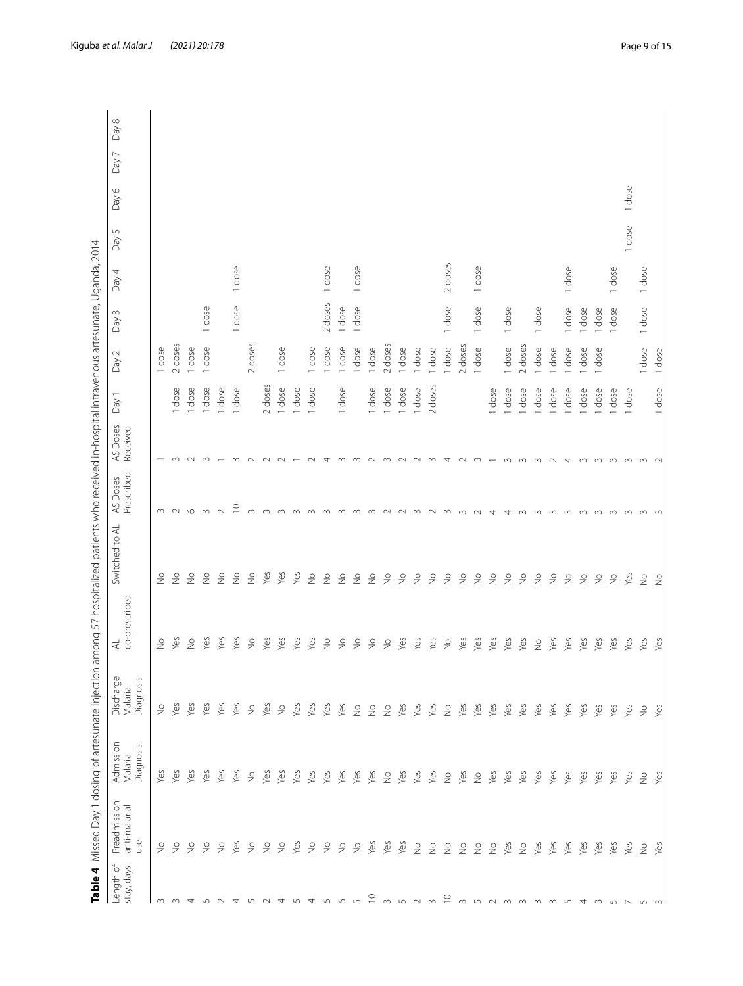<span id="page-8-0"></span>

| Length of<br>stay, days | Preadmission<br>anti-malarial<br>use | Admission<br>Diagnosis<br>Malaria | Discharge<br>Diagnosis<br>Malaria | co-prescribed<br>$\preccurlyeq$ | Switched to AL           | Prescribed<br>AS Doses | AS Doses<br>Received | Day 1   | Day 2   | Day 3   | Day 4   | Day 5  | Day 6  | Day 7 | Day 8 |
|-------------------------|--------------------------------------|-----------------------------------|-----------------------------------|---------------------------------|--------------------------|------------------------|----------------------|---------|---------|---------|---------|--------|--------|-------|-------|
| $\sim$                  | $\frac{1}{2}$                        | yes                               | $\frac{1}{2}$                     | $\frac{1}{2}$                   | $\frac{1}{2}$            | $\sim$                 |                      |         | 1 dose  |         |         |        |        |       |       |
| $\infty$                | $\frac{1}{2}$                        | Yes                               | Yes                               | yes                             | $\frac{1}{2}$            | $\sim$                 |                      | dose    | 2 doses |         |         |        |        |       |       |
| 4                       | $\frac{1}{2}$                        | Yes                               | Yes                               | $\geq$                          | $\geq$                   | $\circ$                | $\sim$               | dose    | 1 dose  |         |         |        |        |       |       |
| ∽                       | $\frac{1}{2}$                        | Yes                               | Yes                               | Yes                             | $\frac{1}{2}$            | $\sim$                 | m                    | dose    | 1 dose  | 1 dose  |         |        |        |       |       |
| $\sim$                  | $\stackrel{\circ}{\geq}$             | Yes                               | Yes                               | Yes                             | $\stackrel{\circ}{\geq}$ | $\sim$                 |                      | dose    |         |         |         |        |        |       |       |
| 4                       | Yes                                  | Yes                               | Yes                               | Yes                             | $\frac{1}{2}$            | $\supseteq$            | $\infty$             | 1 dose  |         | 1 dose  | 1 dose  |        |        |       |       |
| ທ                       | $\stackrel{\circ}{\geq}$             | $\frac{1}{2}$                     | $\geq$                            | $\stackrel{\circ}{\geq}$        | $\frac{1}{2}$            | $\infty$               |                      |         | 2 doses |         |         |        |        |       |       |
| $\sim$                  | $\geq$                               | Yes                               | Yes                               | Yes                             | Yes                      | $\infty$               | $\sim$               | 2 doses |         |         |         |        |        |       |       |
| 4                       | $\stackrel{\circ}{\geq}$             | Yes                               | $\frac{1}{2}$                     | yes                             | yes                      | 3                      |                      | 1 dose  | 1 dose  |         |         |        |        |       |       |
| LO                      | yes                                  | Yes                               | Yes                               | Yes                             | Yes                      |                        |                      | dose    |         |         |         |        |        |       |       |
| 4                       | $\frac{1}{2}$                        | Yes                               | Yes                               | Yes                             | $\frac{1}{2}$            | $\infty$               | $\sim$               | dose    | 1 dose  |         |         |        |        |       |       |
| $\overline{5}$          | $\frac{1}{2}$                        | Yes                               | Yes                               | $\geq$                          | $\stackrel{\circ}{\geq}$ | $\infty$               | 4                    |         | 1 dose  | 2 doses | 1 dose  |        |        |       |       |
| $\sqrt{2}$              | $\frac{1}{2}$                        | Yes                               | Yes                               | $\geq$                          | $\geq$                   | $\infty$               | $\infty$             | 1 dose  | 1 dose  | 1 dose  |         |        |        |       |       |
| $\cup$                  | $\geq$                               | yes                               | $\frac{\circ}{\geq}$              | $\geq$                          | $\geq$                   | $\sim$                 | $\infty$             |         | 1 dose  | 1 dose  | 1 dose  |        |        |       |       |
| $\supseteq$             | Yes                                  | Yes                               | $\stackrel{\circ}{\geq}$          | $\geq$                          | $\geq$                   | $\infty$               | $\sim$               | 1 dose  | 1 dose  |         |         |        |        |       |       |
| $\sim$                  | Yes                                  | $\frac{1}{2}$                     | $\stackrel{\circ}{\geq}$          | $\geq$                          | $\geq$                   | $\sim$                 | m                    | dose    | 2 doses |         |         |        |        |       |       |
| $\cup$                  | Yes                                  | Yes                               | Yes                               | Yes                             | $\frac{1}{2}$            | $\sim$                 | $\sim$               | dose    | 1 dose  |         |         |        |        |       |       |
| $\sim$                  | $\stackrel{\circ}{\geq}$             | Yes                               | Yes                               | Yes                             | $\frac{1}{2}$            | $\infty$               | $\sim$               | 1 dose  | 1 dose  |         |         |        |        |       |       |
| $\infty$                | $\stackrel{\circ}{\geq}$             | Yes                               | Yes                               | Yes                             | $\frac{0}{2}$            | $\sim$                 | $\infty$             | 2 doses | 1 dose  |         |         |        |        |       |       |
| $\supseteq$             | $\stackrel{\circ}{\geq}$             | $\stackrel{\circ}{\geq}$          | $\geq$                            | $\stackrel{\circ}{\geq}$        | $\stackrel{\circ}{\geq}$ | $\infty$               | 4                    |         | 1 dose  | 1 dose  | 2 doses |        |        |       |       |
| $\sim$                  | $\stackrel{\circ}{\geq}$             | Yes                               | Yes                               | Yes                             | $\frac{1}{2}$            | $\infty$               | $\sim$               |         | 2 doses |         |         |        |        |       |       |
| $\sqrt{2}$              | $\geq$                               | $\frac{1}{2}$                     | Yes                               | Yes                             | $\frac{1}{2}$            | N                      | $\infty$             |         | 1 dose  | 1 dose  | 1 dose  |        |        |       |       |
| $\sim$                  | $\geq$                               | Yes                               | Yes                               | Yes                             | $\frac{0}{2}$            | 4                      |                      | 1 dose  |         |         |         |        |        |       |       |
|                         | yes                                  | Yes                               | Yes                               | yes                             | $\frac{1}{2}$            | 4                      | $\infty$             | dose    | 1 dose  | 1 dose  |         |        |        |       |       |
| $m \, m \, m$           | $\frac{1}{2}$                        | Yes                               | Yes                               | Yes                             | $\frac{1}{2}$            | $\infty$               | $\infty$             | dose    | 2 doses |         |         |        |        |       |       |
|                         | Yes                                  | Yes                               | Yes                               | $\geq$                          | $\geq$                   | $\infty$               | $\infty$             | dose    | 1 dose  | 1 dose  |         |        |        |       |       |
| $\infty$                | Yes                                  | Yes                               | Yes                               | yes                             | $\geq$                   | $\infty$               | $\sim$               | dose    | I dose  |         |         |        |        |       |       |
| 5                       | Yes                                  | Yes                               | Yes                               | Yes                             | $\frac{1}{2}$            |                        | ₹                    | dose    | I dose  | 1 dose  | 1 dose  |        |        |       |       |
| $\overline{4}$          | Yes                                  | Yes                               | Yes                               | Yes                             | $\geq$                   | m                      | $\infty$             | dose    | dose    | 1 dose  |         |        |        |       |       |
| $\sim$                  | Yes                                  | Yes                               | Yes                               | Yes                             | $\stackrel{\circ}{\geq}$ | $\infty$               | $\infty$             | dose    | 1 dose  | 1 dose  |         |        |        |       |       |
| $\overline{5}$          | Yes                                  | Yes                               | Yes                               | Yes                             | $\stackrel{\circ}{\geq}$ | $\infty$               | $\infty$             | dose    |         | I dose  | 1 dose  |        |        |       |       |
|                         | Yes                                  | Yes                               | Yes                               | Yes                             | Yes                      |                        | $\infty$             | 1 dose  |         |         |         | 1 dose | 1 dose |       |       |
| $\sqrt{ }$              | $\stackrel{\circ}{\geq}$             | $\stackrel{\circ}{\geq}$          | $\stackrel{\circ}{\geq}$          | Yes                             | $\stackrel{\circ}{\geq}$ | m                      | $\infty$             |         | 1 dose  | 1 dose  | 1 dose  |        |        |       |       |
|                         | Yes                                  | yes                               | Yes                               | Yes                             | $\frac{1}{2}$            |                        |                      | 1 dose  | 1 dose  |         |         |        |        |       |       |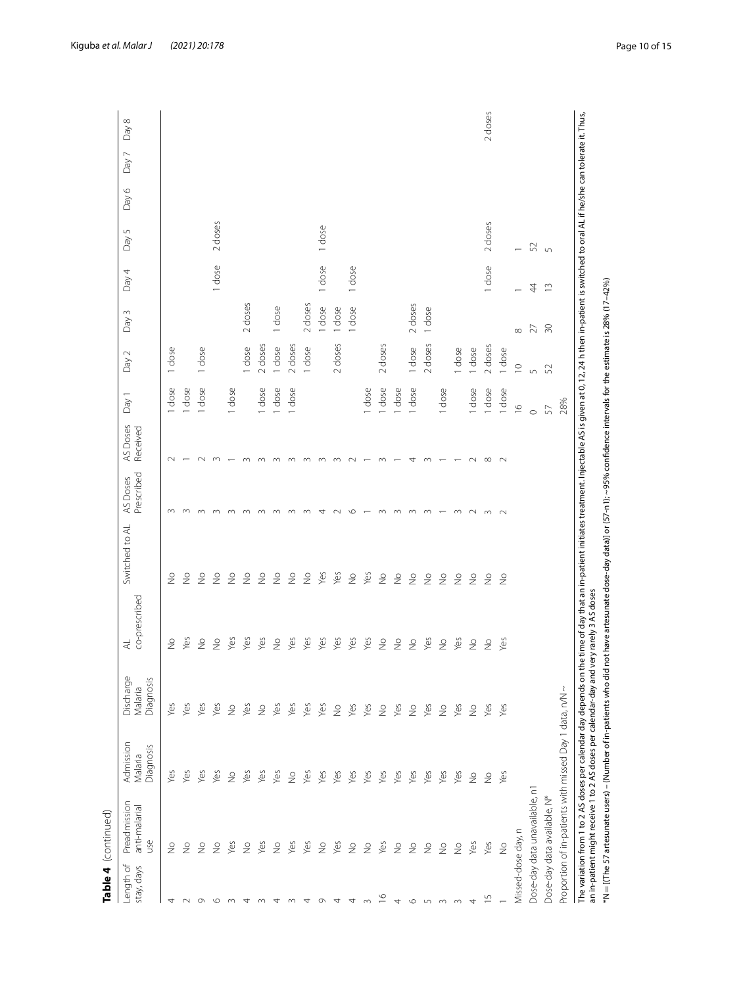|                         | Table 4 (continued)                                    |                                   |                                   |                                                                                                                                                                                                                                                                                                            |                          |                        |                      |               |             |                 |               |            |       |       |         |
|-------------------------|--------------------------------------------------------|-----------------------------------|-----------------------------------|------------------------------------------------------------------------------------------------------------------------------------------------------------------------------------------------------------------------------------------------------------------------------------------------------------|--------------------------|------------------------|----------------------|---------------|-------------|-----------------|---------------|------------|-------|-------|---------|
| Length of<br>stay, days | Preadmission<br>anti-malarial<br>yso                   | Admission<br>Diagnosis<br>Malaria | Discharge<br>Diagnosis<br>Malaria | co-prescribed<br>₹                                                                                                                                                                                                                                                                                         | Switched to AL           | Prescribed<br>AS Doses | AS Doses<br>Received | Day 1         | Day 2       | Day 3           | Day 4         | S<br>Day   | Day 6 | Day 7 | Day 8   |
| 4                       | $\frac{1}{2}$                                          | yes                               | Yes                               | $\frac{1}{2}$                                                                                                                                                                                                                                                                                              | $\geq$                   | $\infty$               | $\sim$               | dose          | 1 dose      |                 |               |            |       |       |         |
| $\sim$                  | $\frac{1}{2}$                                          | yes                               | Yes                               | Yes                                                                                                                                                                                                                                                                                                        | $\frac{1}{2}$            | $\infty$               |                      | 1 dose        |             |                 |               |            |       |       |         |
| $\circ$                 | $\geq$                                                 | yes                               | Yes                               | $\frac{1}{2}$                                                                                                                                                                                                                                                                                              | $\frac{1}{2}$            | $\sim$                 | $\sim$               | 1 dose        | 1 dose      |                 |               |            |       |       |         |
| $\circ$                 | $\frac{1}{2}$                                          | yes                               | yes                               | $\stackrel{\circ}{\geq}$                                                                                                                                                                                                                                                                                   | $\geq$                   | $\sim$                 | $\infty$             |               |             |                 | 1 dose        | 2 doses    |       |       |         |
| $\infty$                | Yes                                                    | $\frac{1}{2}$                     | $\frac{1}{2}$                     | Yes                                                                                                                                                                                                                                                                                                        | $\frac{1}{2}$            |                        |                      | 1 dose        |             |                 |               |            |       |       |         |
| 4                       | $\stackrel{\circ}{\geq}$                               | Yes                               | Yes                               | Yes                                                                                                                                                                                                                                                                                                        | $\stackrel{\circ}{\geq}$ |                        |                      |               | 1 dose      | 2 doses         |               |            |       |       |         |
|                         | Yes                                                    | Yes                               | $\geq$                            | Yes                                                                                                                                                                                                                                                                                                        | $\stackrel{\circ}{\geq}$ |                        |                      | 1 dose        | 2 doses     |                 |               |            |       |       |         |
| ₹                       | $\geq$                                                 | Yes                               | yes                               | $\geq$                                                                                                                                                                                                                                                                                                     | $\stackrel{\circ}{\geq}$ |                        |                      | dose          | I dose      | 1 dose          |               |            |       |       |         |
|                         | Yes                                                    | $\frac{1}{2}$                     | Š                                 | Yes                                                                                                                                                                                                                                                                                                        | $\frac{1}{2}$            |                        |                      | 1 dose        | 2 doses     |                 |               |            |       |       |         |
| 4                       | Yes                                                    | Yes                               | yes                               | Yes                                                                                                                                                                                                                                                                                                        | $\frac{1}{2}$            |                        | $\infty$             |               | 1 dose      | 2 doses         |               |            |       |       |         |
| $\sigma$                | $\geq$                                                 | Yes                               | Yes                               | yes                                                                                                                                                                                                                                                                                                        | Yes                      | 4                      | $\infty$             |               |             | 1 dose          | 1 dose        | 1 dose     |       |       |         |
| 4                       | Yes                                                    | yes                               | $\stackrel{\circ}{\geq}$          | Yes                                                                                                                                                                                                                                                                                                        | Yes                      |                        | $\infty$             |               | 2 doses     | 1 dose          |               |            |       |       |         |
| 4                       | $\geq$                                                 | Yes                               | Yes                               | Yes                                                                                                                                                                                                                                                                                                        | $\frac{1}{2}$            | $\circ$                | $\sim$               |               |             | dose            | 1 dose        |            |       |       |         |
| $\infty$                | $\frac{1}{2}$                                          | yes                               | Š                                 | Yes                                                                                                                                                                                                                                                                                                        | Yes                      |                        |                      | 1 dose        |             |                 |               |            |       |       |         |
| $\frac{8}{10}$          | Yes                                                    | yes                               | $\geq$                            | $\frac{1}{2}$                                                                                                                                                                                                                                                                                              | $\frac{1}{2}$            | $\infty$               | $\infty$             | dose          | 2 doses     |                 |               |            |       |       |         |
| 4                       | $\frac{1}{2}$                                          | yes                               | Yes                               | $\geq$                                                                                                                                                                                                                                                                                                     | $\frac{1}{2}$            | $\infty$               |                      | dose          |             |                 |               |            |       |       |         |
| $\circ$                 | $\frac{1}{2}$                                          | Yes                               | $\stackrel{\circ}{\geq}$          | $\frac{1}{2}$                                                                                                                                                                                                                                                                                              | $\geq$                   | $\infty$               | 4                    | dose          | 1 dose      | 2 doses         |               |            |       |       |         |
| $\overline{5}$          | $\frac{1}{2}$                                          | Yes                               | Yes                               | Yes                                                                                                                                                                                                                                                                                                        | $\geq$                   | $\infty$               | $\infty$             |               | 2 doses     | 1 dose          |               |            |       |       |         |
| $\infty$                | $\frac{1}{2}$                                          | yes                               | $\frac{1}{2}$                     | $\stackrel{\circ}{\geq}$                                                                                                                                                                                                                                                                                   | $\frac{1}{2}$            |                        |                      | 1 dose        |             |                 |               |            |       |       |         |
|                         | $\frac{1}{2}$                                          | Š                                 | Yes                               | Yes                                                                                                                                                                                                                                                                                                        | $\frac{1}{2}$            | $\sim$                 |                      |               | I dose      |                 |               |            |       |       |         |
| 4                       | Yes                                                    | $\stackrel{\circ}{\geq}$          | $\stackrel{\circ}{\geq}$          | $\stackrel{\circ}{\geq}$                                                                                                                                                                                                                                                                                   | $\stackrel{\circ}{\geq}$ | $\sim$                 | $\sim$               | 1 dose        | 1 dose      |                 |               |            |       |       |         |
| S                       | Yes                                                    | $\stackrel{\circ}{\geq}$          | yes                               | $\stackrel{\circ}{\geq}$                                                                                                                                                                                                                                                                                   | $\frac{1}{2}$            | $\sim$                 | $\infty$             | 1 dose        | 2 doses     |                 | 1 dose        | 2 doses    |       |       | 2 doses |
|                         | $\frac{1}{2}$                                          | yes                               | Yes                               | Yes                                                                                                                                                                                                                                                                                                        | $\frac{1}{2}$            | $\sim$                 | $\sim$               | 1 dose        | 1 dose      |                 |               |            |       |       |         |
| Missed-dose day, n      |                                                        |                                   |                                   |                                                                                                                                                                                                                                                                                                            |                          |                        |                      | $\frac{6}{1}$ | $\supseteq$ | $\infty$        |               |            |       |       |         |
|                         | Dose-day data unavailable, n1                          |                                   |                                   |                                                                                                                                                                                                                                                                                                            |                          |                        |                      | $\circ$       | $\sqrt{2}$  | 27              | 44            | 52         |       |       |         |
|                         | Dose-day data available, N*                            |                                   |                                   |                                                                                                                                                                                                                                                                                                            |                          |                        |                      | $57\,$        | 52          | $\overline{50}$ | $\frac{3}{2}$ | $\sqrt{2}$ |       |       |         |
|                         | Proportion of in-patients with missed Day 1 data, n/N~ |                                   |                                   |                                                                                                                                                                                                                                                                                                            |                          |                        |                      | 28%           |             |                 |               |            |       |       |         |
|                         |                                                        |                                   |                                   | The variation from 1 to 2 AS doses per calendar day depends on the time of day that an in-patient injectable AS is given at 0, 12, 24 h then in-patient is switched to oral AL if he/she can tolerate it. Thus,<br>an in-patient might receive 1 to 2 AS doses per calendar-day and very rarely 3 AS doses |                          |                        |                      |               |             |                 |               |            |       |       |         |
|                         |                                                        |                                   |                                   | *N=[(The 57 artesunate users) – (Number of in-patients who did not have artesunate dose-day data)] or (57-n1);~ 95% confidence intervals for the estimate is 28% (17-42%)                                                                                                                                  |                          |                        |                      |               |             |                 |               |            |       |       |         |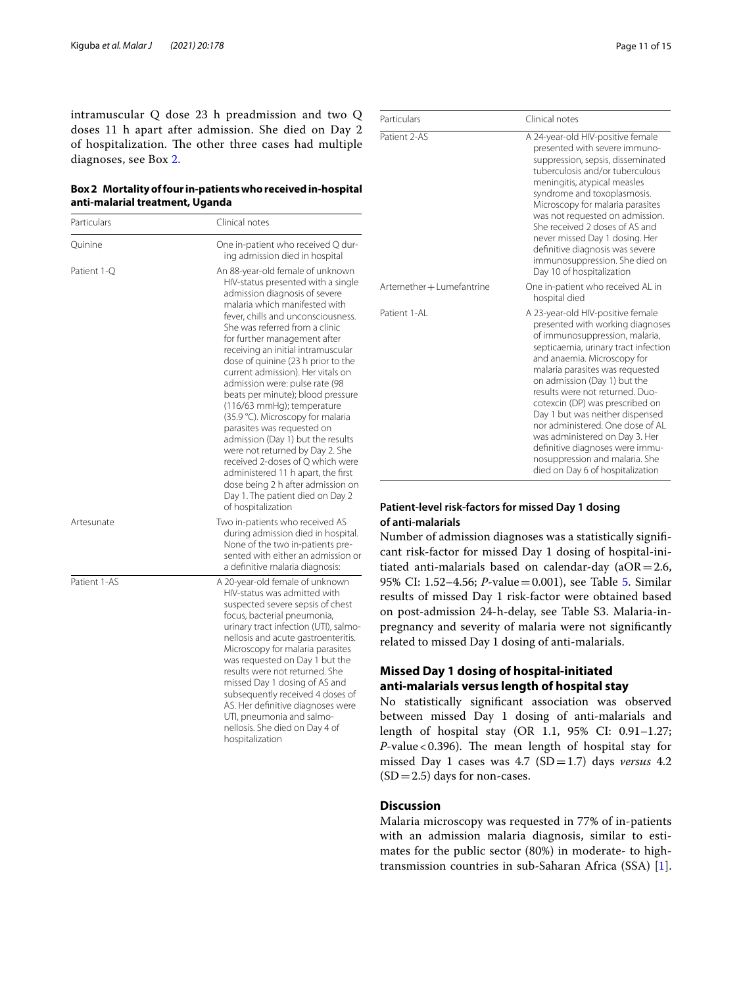intramuscular Q dose 23 h preadmission and two Q doses 11 h apart after admission. She died on Day 2 of hospitalization. The other three cases had multiple diagnoses, see Box 2.

| Box 2 Mortality of four in-patients who received in-hospital |
|--------------------------------------------------------------|
| anti-malarial treatment, Uganda                              |

| Particulars  | Clinical notes                                                                                                                                                                                                                                                                                                                                                                                                                                                                                                                                                                                                                                                                                                                                                                             |
|--------------|--------------------------------------------------------------------------------------------------------------------------------------------------------------------------------------------------------------------------------------------------------------------------------------------------------------------------------------------------------------------------------------------------------------------------------------------------------------------------------------------------------------------------------------------------------------------------------------------------------------------------------------------------------------------------------------------------------------------------------------------------------------------------------------------|
| Quinine      | One in-patient who received Q dur-<br>ing admission died in hospital                                                                                                                                                                                                                                                                                                                                                                                                                                                                                                                                                                                                                                                                                                                       |
| Patient 1-O  | An 88-year-old female of unknown<br>HIV-status presented with a single<br>admission diagnosis of severe<br>malaria which manifested with<br>fever, chills and unconsciousness.<br>She was referred from a clinic<br>for further management after<br>receiving an initial intramuscular<br>dose of quinine (23 h prior to the<br>current admission). Her vitals on<br>admission were: pulse rate (98<br>beats per minute); blood pressure<br>(116/63 mmHg); temperature<br>(35.9 °C). Microscopy for malaria<br>parasites was requested on<br>admission (Day 1) but the results<br>were not returned by Day 2. She<br>received 2-doses of Q which were<br>administered 11 h apart, the first<br>dose being 2 h after admission on<br>Day 1. The patient died on Day 2<br>of hospitalization |
| Artesunate   | Two in-patients who received AS<br>during admission died in hospital.<br>None of the two in-patients pre-<br>sented with either an admission or<br>a definitive malaria diagnosis:                                                                                                                                                                                                                                                                                                                                                                                                                                                                                                                                                                                                         |
| Patient 1-AS | A 20-year-old female of unknown<br>HIV-status was admitted with<br>suspected severe sepsis of chest<br>focus, bacterial pneumonia,<br>urinary tract infection (UTI), salmo-<br>nellosis and acute gastroenteritis.<br>Microscopy for malaria parasites<br>was requested on Day 1 but the<br>results were not returned. She<br>missed Day 1 dosing of AS and<br>subsequently received 4 doses of<br>AS. Her definitive diagnoses were<br>UTI, pneumonia and salmo-<br>nellosis. She died on Day 4 of<br>hospitalization                                                                                                                                                                                                                                                                     |

| Particulars               | Clinical notes                                                                                                                                                                                                                                                                                                                                                                                                                                                                                                                            |
|---------------------------|-------------------------------------------------------------------------------------------------------------------------------------------------------------------------------------------------------------------------------------------------------------------------------------------------------------------------------------------------------------------------------------------------------------------------------------------------------------------------------------------------------------------------------------------|
| Patient 2-AS              | A 24-year-old HIV-positive female<br>presented with severe immuno-<br>suppression, sepsis, disseminated<br>tuberculosis and/or tuberculous<br>meningitis, atypical measles<br>syndrome and toxoplasmosis.<br>Microscopy for malaria parasites<br>was not requested on admission.<br>She received 2 doses of AS and<br>never missed Day 1 dosing. Her<br>definitive diagnosis was severe<br>immunosuppression. She died on<br>Day 10 of hospitalization                                                                                    |
| Artemether + Lumefantrine | One in-patient who received AL in<br>hospital died                                                                                                                                                                                                                                                                                                                                                                                                                                                                                        |
| Patient 1-AL              | A 23-year-old HIV-positive female<br>presented with working diagnoses<br>of immunosuppression, malaria,<br>septicaemia, urinary tract infection<br>and anaemia. Microscopy for<br>malaria parasites was requested<br>on admission (Day 1) but the<br>results were not returned. Duo-<br>cotexcin (DP) was prescribed on<br>Day 1 but was neither dispensed<br>nor administered. One dose of AL<br>was administered on Day 3. Her<br>definitive diagnoses were immu-<br>nosuppression and malaria. She<br>died on Day 6 of hospitalization |

## **Patient‑level risk‑factors for missed Day 1 dosing of anti‑malarials**

Number of admission diagnoses was a statistically signifcant risk-factor for missed Day 1 dosing of hospital-initiated anti-malarials based on calendar-day ( $aOR = 2.6$ , 95% CI: 1.52–4.56; *P*-value=0.001), see Table [5.](#page-11-0) Similar results of missed Day 1 risk-factor were obtained based on post-admission 24-h-delay, see Table S3. Malaria-inpregnancy and severity of malaria were not signifcantly related to missed Day 1 dosing of anti-malarials.

## **Missed Day 1 dosing of hospital-initiated anti-malarials versus length of hospital stay**

No statistically signifcant association was observed between missed Day 1 dosing of anti-malarials and length of hospital stay (OR 1.1, 95% CI: 0.91–1.27; *P*-value < 0.396). The mean length of hospital stay for missed Day 1 cases was 4.7 (SD=1.7) days *versus* 4.2  $(SD=2.5)$  days for non-cases.

## **Discussion**

Malaria microscopy was requested in 77% of in-patients with an admission malaria diagnosis, similar to estimates for the public sector (80%) in moderate- to hightransmission countries in sub-Saharan Africa (SSA) [\[1](#page-13-0)].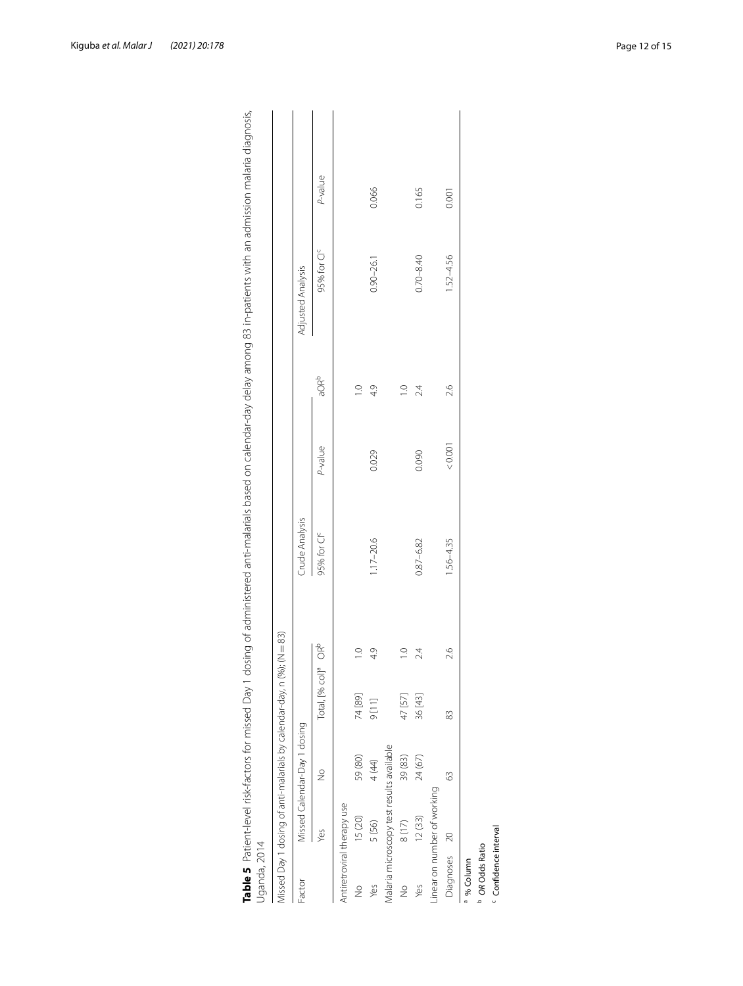|                                  |                                           |                              | Missed Day 1 dosing of anti-malarials by calendar-day, n (%); (N = 83) |                 |                         |         |                  |                         |         |
|----------------------------------|-------------------------------------------|------------------------------|------------------------------------------------------------------------|-----------------|-------------------------|---------|------------------|-------------------------|---------|
| Factor                           |                                           | Missed Calendar-Day 1 dosing |                                                                        |                 | Crude Analysis          |         |                  | Adjusted Analysis       |         |
|                                  | Yes                                       | $\frac{1}{2}$                | Total, [% col] <sup>a</sup>                                            | OR <sup>b</sup> | 95% for CI <sup>c</sup> | P-value | aOR <sup>b</sup> | 95% for CI <sup>c</sup> | P-value |
|                                  | Antiretroviral therapy use                |                              |                                                                        |                 |                         |         |                  |                         |         |
| $\geq$                           | 15 (20)                                   | 59 (80)                      | 74 [89]                                                                | $\frac{1}{2}$   |                         |         | $\supseteq$      |                         |         |
| Yes                              | 5 (56)                                    | 4 (44)                       | [11]                                                                   | 49              | $1.17 - 20.6$           | 0.029   | 49               | $0.90 - 26.1$           | 0.066   |
|                                  | Aalaria microscopy test results available |                              |                                                                        |                 |                         |         |                  |                         |         |
| $\frac{1}{2}$                    | 8(17)                                     | 39 (83)                      | 47 [57]                                                                | $\frac{1}{2}$   |                         |         | $\supseteq$      |                         |         |
| Yes                              | 12(33)                                    | 24 (67)                      | 36 [43]                                                                | 24              | $0.87 - 6.82$           | 0.090   | 24               | $0.70 - 8.40$           | 0.165   |
|                                  | inear on number of working                |                              |                                                                        |                 |                         |         |                  |                         |         |
| Diagnoses 20                     |                                           | 3                            | 83                                                                     | 2.6             | $1.56 - 4.35$           | < 0.001 | 2.6              | 1.52-4.56               | 0.001   |
| % Column                         |                                           |                              |                                                                        |                 |                         |         |                  |                         |         |
| OR Odds Ratio                    |                                           |                              |                                                                        |                 |                         |         |                  |                         |         |
| <sup>c</sup> Confidence interval |                                           |                              |                                                                        |                 |                         |         |                  |                         |         |

<span id="page-11-0"></span>

| י ל את לבת לבו לכם לכם לכת לפאמת הודיבת המשקלי וכל לאיני לאיני לאיני לאיני לאיני לאיני לאיני לאיני לאיני לאיני<br>היא לאיני לאיני לאיני לאיני לאיני לאיני לאיני לאיני לאיני לאיני לאיני לאיני לאיני לאיני לאיני לאיני לאיני לאינ<br>55<br>J<br>J<br>) フンソコン コミュニ<br>j<br>フノ・フィニ ミニミ<br>Ĵ<br>5<br>D<br>)<br>)<br>)<br>)<br>١<br>ò ∣ ve<br>j<br>í<br>d<br><b>.</b><br>2<br>i<br>ļ<br>ׇ֖֘֝֝֬<br>i<br>1<br>$\overline{\phantom{a}}$<br>J | ip cinclem animate are ativitation is 2 p.m.<br>$\mathbf{r}$<br>j<br>ć<br>J<br>5<br>-<br>,<br>5<br>. | 5<br>3<br>2<br>$\overline{\phantom{a}}$<br>l<br>۱<br>֧֦֧֧֦֧ׅ֧֦֧ׅ֧֦֧ׅ֧ׅ֧ׅ֧֧ׅ֧֧֧ׅ֪֛֛֛֛֛֚֚֚֚֚֚֚֚֚֚֚֚֡֕֓֕֓֕֓֕֓֕֓֝֓֓֕֓֡֝֬֓֝֓֜֓֜֓֓֜֓֓֜֓֜֓֝֬֜֓֝֬֝֬֜֝֓֝֓<br>֖֖ׅׅׅ֪֧֚֚֚֚֚֚֚֚֚֚֚֚֚֚֚֚֚֚֚֚֚֚֚֚֚֚֚֚֡֬֡֡֓֡֡֓֞֡֡֓֞֓֞֬ |
|--------------------------------------------------------------------------------------------------------------------------------------------------------------------------------------------------------------------------------------------------------------------------------------------------------------------------------------------------------------------------------------------------------------------------------------|------------------------------------------------------------------------------------------------------|---------------------------------------------------------------------------------------------------------------------------------------------------------------------------------------------------------|
| Į                                                                                                                                                                                                                                                                                                                                                                                                                                    |                                                                                                      |                                                                                                                                                                                                         |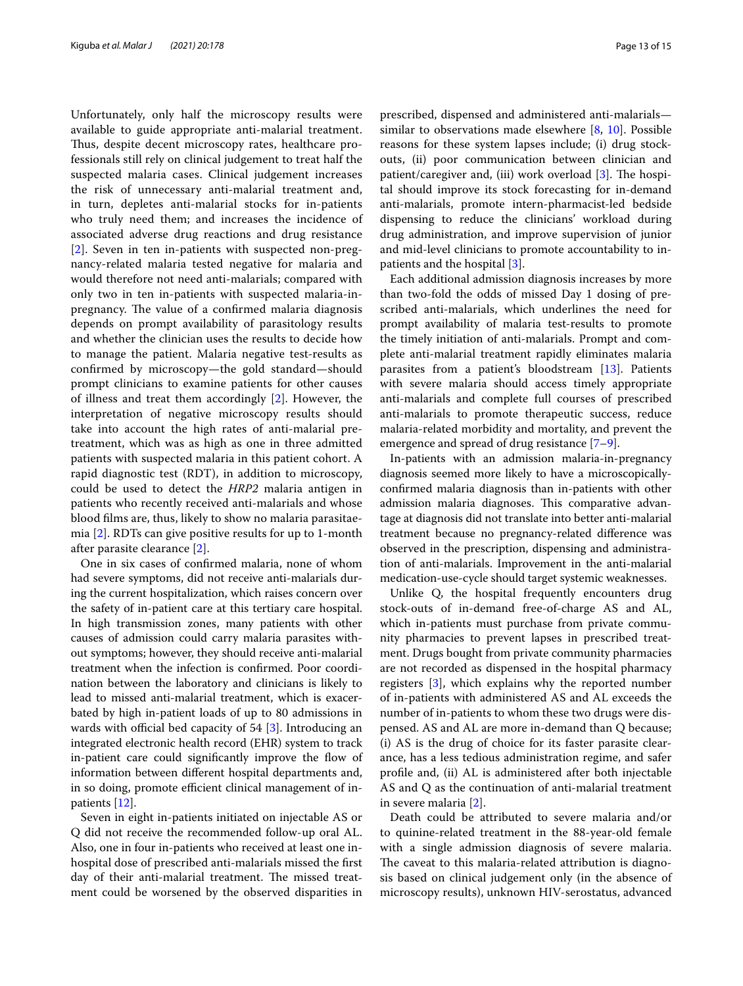Unfortunately, only half the microscopy results were available to guide appropriate anti-malarial treatment. Thus, despite decent microscopy rates, healthcare professionals still rely on clinical judgement to treat half the suspected malaria cases. Clinical judgement increases the risk of unnecessary anti-malarial treatment and, in turn, depletes anti-malarial stocks for in-patients who truly need them; and increases the incidence of associated adverse drug reactions and drug resistance [[2\]](#page-13-1). Seven in ten in-patients with suspected non-pregnancy-related malaria tested negative for malaria and would therefore not need anti-malarials; compared with only two in ten in-patients with suspected malaria-inpregnancy. The value of a confirmed malaria diagnosis depends on prompt availability of parasitology results and whether the clinician uses the results to decide how to manage the patient. Malaria negative test-results as confrmed by microscopy—the gold standard—should prompt clinicians to examine patients for other causes of illness and treat them accordingly [\[2](#page-13-1)]. However, the interpretation of negative microscopy results should take into account the high rates of anti-malarial pretreatment, which was as high as one in three admitted patients with suspected malaria in this patient cohort. A rapid diagnostic test (RDT), in addition to microscopy, could be used to detect the *HRP2* malaria antigen in patients who recently received anti-malarials and whose blood flms are, thus, likely to show no malaria parasitaemia [[2\]](#page-13-1). RDTs can give positive results for up to 1-month after parasite clearance [[2\]](#page-13-1).

One in six cases of confrmed malaria, none of whom had severe symptoms, did not receive anti-malarials during the current hospitalization, which raises concern over the safety of in-patient care at this tertiary care hospital. In high transmission zones, many patients with other causes of admission could carry malaria parasites without symptoms; however, they should receive anti-malarial treatment when the infection is confrmed. Poor coordination between the laboratory and clinicians is likely to lead to missed anti-malarial treatment, which is exacerbated by high in-patient loads of up to 80 admissions in wards with official bed capacity of  $54$  [\[3](#page-14-0)]. Introducing an integrated electronic health record (EHR) system to track in-patient care could significantly improve the flow of information between diferent hospital departments and, in so doing, promote efficient clinical management of inpatients [\[12](#page-14-8)].

Seven in eight in-patients initiated on injectable AS or Q did not receive the recommended follow-up oral AL. Also, one in four in-patients who received at least one inhospital dose of prescribed anti-malarials missed the frst day of their anti-malarial treatment. The missed treatment could be worsened by the observed disparities in prescribed, dispensed and administered anti-malarials similar to observations made elsewhere  $[8, 10]$  $[8, 10]$  $[8, 10]$ . Possible reasons for these system lapses include; (i) drug stockouts, (ii) poor communication between clinician and patient/caregiver and, (iii) work overload [[3\]](#page-14-0). The hospital should improve its stock forecasting for in-demand anti-malarials, promote intern-pharmacist-led bedside dispensing to reduce the clinicians' workload during drug administration, and improve supervision of junior and mid-level clinicians to promote accountability to inpatients and the hospital [[3\]](#page-14-0).

Each additional admission diagnosis increases by more than two-fold the odds of missed Day 1 dosing of prescribed anti-malarials, which underlines the need for prompt availability of malaria test-results to promote the timely initiation of anti-malarials. Prompt and complete anti-malarial treatment rapidly eliminates malaria parasites from a patient's bloodstream [\[13](#page-14-9)]. Patients with severe malaria should access timely appropriate anti-malarials and complete full courses of prescribed anti-malarials to promote therapeutic success, reduce malaria-related morbidity and mortality, and prevent the emergence and spread of drug resistance [[7–](#page-14-3)[9\]](#page-14-4).

In-patients with an admission malaria-in-pregnancy diagnosis seemed more likely to have a microscopicallyconfrmed malaria diagnosis than in-patients with other admission malaria diagnoses. This comparative advantage at diagnosis did not translate into better anti-malarial treatment because no pregnancy-related diference was observed in the prescription, dispensing and administration of anti-malarials. Improvement in the anti-malarial medication-use-cycle should target systemic weaknesses.

Unlike Q, the hospital frequently encounters drug stock-outs of in-demand free-of-charge AS and AL, which in-patients must purchase from private community pharmacies to prevent lapses in prescribed treatment. Drugs bought from private community pharmacies are not recorded as dispensed in the hospital pharmacy registers [[3\]](#page-14-0), which explains why the reported number of in-patients with administered AS and AL exceeds the number of in-patients to whom these two drugs were dispensed. AS and AL are more in-demand than Q because; (i) AS is the drug of choice for its faster parasite clearance, has a less tedious administration regime, and safer profle and, (ii) AL is administered after both injectable AS and Q as the continuation of anti-malarial treatment in severe malaria [\[2](#page-13-1)].

Death could be attributed to severe malaria and/or to quinine-related treatment in the 88-year-old female with a single admission diagnosis of severe malaria. The caveat to this malaria-related attribution is diagnosis based on clinical judgement only (in the absence of microscopy results), unknown HIV-serostatus, advanced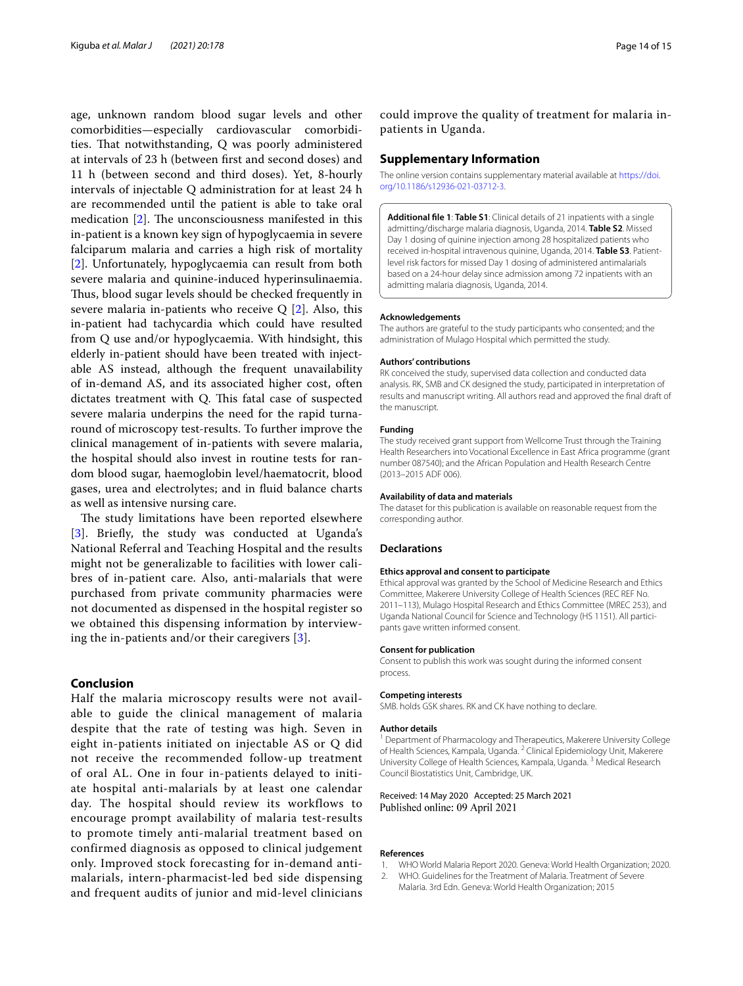age, unknown random blood sugar levels and other comorbidities—especially cardiovascular comorbidities. That notwithstanding, Q was poorly administered at intervals of 23 h (between frst and second doses) and 11 h (between second and third doses). Yet, 8-hourly intervals of injectable Q administration for at least 24 h are recommended until the patient is able to take oral medication  $[2]$  $[2]$ . The unconsciousness manifested in this in-patient is a known key sign of hypoglycaemia in severe falciparum malaria and carries a high risk of mortality [[2\]](#page-13-1). Unfortunately, hypoglycaemia can result from both severe malaria and quinine-induced hyperinsulinaemia. Thus, blood sugar levels should be checked frequently in severe malaria in-patients who receive  $Q$  [[2\]](#page-13-1). Also, this in-patient had tachycardia which could have resulted from Q use and/or hypoglycaemia. With hindsight, this elderly in-patient should have been treated with injectable AS instead, although the frequent unavailability of in-demand AS, and its associated higher cost, often dictates treatment with  $Q$ . This fatal case of suspected severe malaria underpins the need for the rapid turnaround of microscopy test-results. To further improve the clinical management of in-patients with severe malaria, the hospital should also invest in routine tests for random blood sugar, haemoglobin level/haematocrit, blood gases, urea and electrolytes; and in fuid balance charts as well as intensive nursing care.

The study limitations have been reported elsewhere [[3](#page-14-0)]. Briefy, the study was conducted at Uganda's National Referral and Teaching Hospital and the results might not be generalizable to facilities with lower calibres of in-patient care. Also, anti-malarials that were purchased from private community pharmacies were not documented as dispensed in the hospital register so we obtained this dispensing information by interviewing the in-patients and/or their caregivers [\[3](#page-14-0)].

## **Conclusion**

Half the malaria microscopy results were not available to guide the clinical management of malaria despite that the rate of testing was high. Seven in eight in-patients initiated on injectable AS or Q did not receive the recommended follow-up treatment of oral AL. One in four in-patients delayed to initiate hospital anti-malarials by at least one calendar day. The hospital should review its workflows to encourage prompt availability of malaria test-results to promote timely anti-malarial treatment based on confirmed diagnosis as opposed to clinical judgement only. Improved stock forecasting for in-demand antimalarials, intern-pharmacist-led bed side dispensing and frequent audits of junior and mid-level clinicians could improve the quality of treatment for malaria inpatients in Uganda.

#### **Supplementary Information**

The online version contains supplementary material available at [https://doi.](https://doi.org/10.1186/s12936-021-03712-3) [org/10.1186/s12936-021-03712-3](https://doi.org/10.1186/s12936-021-03712-3).

<span id="page-13-2"></span>**Additional fle 1**: **Table S1**: Clinical details of 21 inpatients with a single admitting/discharge malaria diagnosis, Uganda, 2014. **Table S2**. Missed Day 1 dosing of quinine injection among 28 hospitalized patients who received in-hospital intravenous quinine, Uganda, 2014. **Table S3**. Patientlevel risk factors for missed Day 1 dosing of administered antimalarials based on a 24-hour delay since admission among 72 inpatients with an admitting malaria diagnosis, Uganda, 2014.

#### **Acknowledgements**

The authors are grateful to the study participants who consented; and the administration of Mulago Hospital which permitted the study.

#### **Authors' contributions**

RK conceived the study, supervised data collection and conducted data analysis. RK, SMB and CK designed the study, participated in interpretation of results and manuscript writing. All authors read and approved the fnal draft of the manuscript.

#### **Funding**

The study received grant support from Wellcome Trust through the Training Health Researchers into Vocational Excellence in East Africa programme (grant number 087540); and the African Population and Health Research Centre (2013–2015 ADF 006).

#### **Availability of data and materials**

The dataset for this publication is available on reasonable request from the corresponding author.

#### **Declarations**

#### **Ethics approval and consent to participate**

Ethical approval was granted by the School of Medicine Research and Ethics Committee, Makerere University College of Health Sciences (REC REF No. 2011–113), Mulago Hospital Research and Ethics Committee (MREC 253), and Uganda National Council for Science and Technology (HS 1151). All participants gave written informed consent.

#### **Consent for publication**

Consent to publish this work was sought during the informed consent process.

#### **Competing interests**

SMB. holds GSK shares. RK and CK have nothing to declare.

#### **Author details**

<sup>1</sup> Department of Pharmacology and Therapeutics, Makerere University College of Health Sciences, Kampala, Uganda. <sup>2</sup> Clinical Epidemiology Unit, Makerere University College of Health Sciences, Kampala, Uganda.<sup>3</sup> Medical Research Council Biostatistics Unit, Cambridge, UK.

### Received: 14 May 2020 Accepted: 25 March 2021 Published online: 09 April 2021

#### **References**

- <span id="page-13-0"></span>1. WHO World Malaria Report 2020. Geneva: World Health Organization; 2020.
- <span id="page-13-1"></span>2. WHO. Guidelines for the Treatment of Malaria. Treatment of Severe Malaria. 3rd Edn. Geneva: World Health Organization; 2015